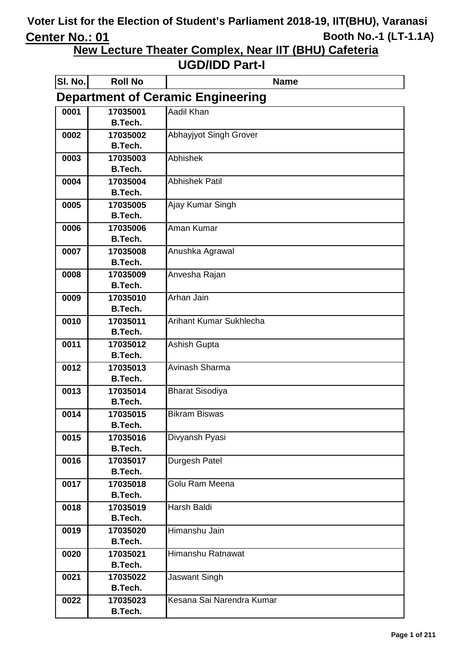**New Lecture Theater Complex, Near IIT (BHU) Cafeteria**

| SI. No. | <b>Roll No</b>                           | <b>Name</b>               |  |
|---------|------------------------------------------|---------------------------|--|
|         | <b>Department of Ceramic Engineering</b> |                           |  |
| 0001    | 17035001                                 | Aadil Khan                |  |
|         | B.Tech.                                  |                           |  |
| 0002    | 17035002                                 | Abhayjyot Singh Grover    |  |
|         | <b>B.Tech.</b>                           |                           |  |
| 0003    | 17035003                                 | <b>Abhishek</b>           |  |
|         | <b>B.Tech.</b>                           |                           |  |
| 0004    | 17035004<br><b>B.Tech.</b>               | <b>Abhishek Patil</b>     |  |
| 0005    | 17035005                                 | Ajay Kumar Singh          |  |
|         | <b>B.Tech.</b>                           |                           |  |
| 0006    | 17035006                                 | Aman Kumar                |  |
|         | <b>B.Tech.</b>                           |                           |  |
| 0007    | 17035008                                 | Anushka Agrawal           |  |
|         | <b>B.Tech.</b>                           |                           |  |
| 0008    | 17035009                                 | Anvesha Rajan             |  |
|         | <b>B.Tech.</b>                           |                           |  |
| 0009    | 17035010                                 | Arhan Jain                |  |
|         | <b>B.Tech.</b>                           |                           |  |
| 0010    | 17035011                                 | Arihant Kumar Sukhlecha   |  |
|         | <b>B.Tech.</b>                           |                           |  |
| 0011    | 17035012                                 | Ashish Gupta              |  |
|         | <b>B.Tech.</b>                           |                           |  |
| 0012    | 17035013                                 | Avinash Sharma            |  |
|         | <b>B.Tech.</b>                           |                           |  |
| 0013    | 17035014<br><b>B.Tech.</b>               | <b>Bharat Sisodiya</b>    |  |
| 0014    | 17035015                                 | <b>Bikram Biswas</b>      |  |
|         | <b>B.Tech.</b>                           |                           |  |
| 0015    | 17035016                                 | Divyansh Pyasi            |  |
|         | <b>B.Tech.</b>                           |                           |  |
| 0016    | 17035017                                 | Durgesh Patel             |  |
|         | <b>B.Tech.</b>                           |                           |  |
| 0017    | 17035018                                 | Golu Ram Meena            |  |
|         | <b>B.Tech.</b>                           |                           |  |
| 0018    | 17035019                                 | <b>Harsh Baldi</b>        |  |
|         | <b>B.Tech.</b>                           |                           |  |
| 0019    | 17035020                                 | Himanshu Jain             |  |
|         | <b>B.Tech.</b>                           |                           |  |
| 0020    | 17035021                                 | Himanshu Ratnawat         |  |
|         | <b>B.Tech.</b>                           |                           |  |
| 0021    | 17035022                                 | <b>Jaswant Singh</b>      |  |
|         | <b>B.Tech.</b>                           |                           |  |
| 0022    | 17035023                                 | Kesana Sai Narendra Kumar |  |
|         | <b>B.Tech.</b>                           |                           |  |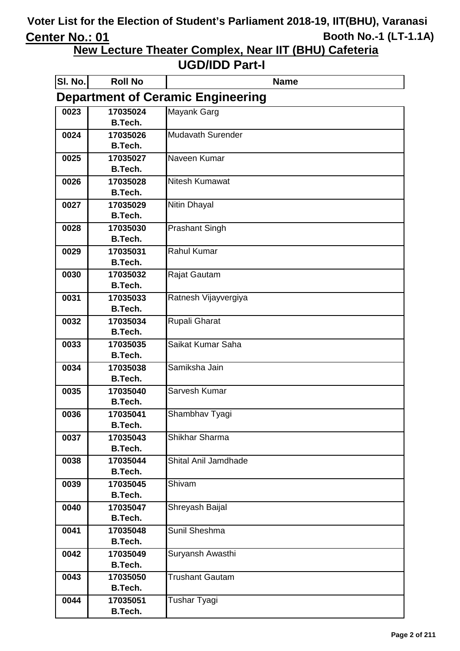**New Lecture Theater Complex, Near IIT (BHU) Cafeteria**

| SI. No. | <b>Roll No</b>             | <b>Name</b>                              |
|---------|----------------------------|------------------------------------------|
|         |                            | <b>Department of Ceramic Engineering</b> |
| 0023    | 17035024                   | Mayank Garg                              |
|         | <b>B.Tech.</b>             |                                          |
| 0024    | 17035026                   | <b>Mudavath Surender</b>                 |
|         | <b>B.Tech.</b>             |                                          |
| 0025    | 17035027                   | Naveen Kumar                             |
|         | <b>B.Tech.</b>             |                                          |
| 0026    | 17035028<br><b>B.Tech.</b> | Nitesh Kumawat                           |
|         |                            |                                          |
| 0027    | 17035029<br><b>B.Tech.</b> | <b>Nitin Dhayal</b>                      |
| 0028    | 17035030                   | <b>Prashant Singh</b>                    |
|         | <b>B.Tech.</b>             |                                          |
| 0029    | 17035031                   | <b>Rahul Kumar</b>                       |
|         | <b>B.Tech.</b>             |                                          |
| 0030    | 17035032                   | Rajat Gautam                             |
|         | <b>B.Tech.</b>             |                                          |
| 0031    | 17035033                   | Ratnesh Vijayvergiya                     |
|         | <b>B.Tech.</b>             |                                          |
| 0032    | 17035034                   | Rupali Gharat                            |
|         | <b>B.Tech.</b>             |                                          |
| 0033    | 17035035                   | Saikat Kumar Saha                        |
|         | <b>B.Tech.</b>             |                                          |
| 0034    | 17035038                   | Samiksha Jain                            |
|         | <b>B.Tech.</b>             |                                          |
| 0035    | 17035040                   | Sarvesh Kumar                            |
|         | <b>B.Tech.</b>             |                                          |
| 0036    | 17035041<br>B.Tech.        | Shambhav Tyagi                           |
| 0037    | 17035043                   | Shikhar Sharma                           |
|         | <b>B.Tech.</b>             |                                          |
| 0038    | 17035044                   | Shital Anil Jamdhade                     |
|         | <b>B.Tech.</b>             |                                          |
| 0039    | 17035045                   | Shivam                                   |
|         | <b>B.Tech.</b>             |                                          |
| 0040    | 17035047                   | Shreyash Baijal                          |
|         | <b>B.Tech.</b>             |                                          |
| 0041    | 17035048                   | Sunil Sheshma                            |
|         | <b>B.Tech.</b>             |                                          |
| 0042    | 17035049                   | Suryansh Awasthi                         |
|         | <b>B.Tech.</b>             |                                          |
| 0043    | 17035050                   | <b>Trushant Gautam</b>                   |
|         | <b>B.Tech.</b>             |                                          |
| 0044    | 17035051<br>B.Tech.        | Tushar Tyagi                             |
|         |                            |                                          |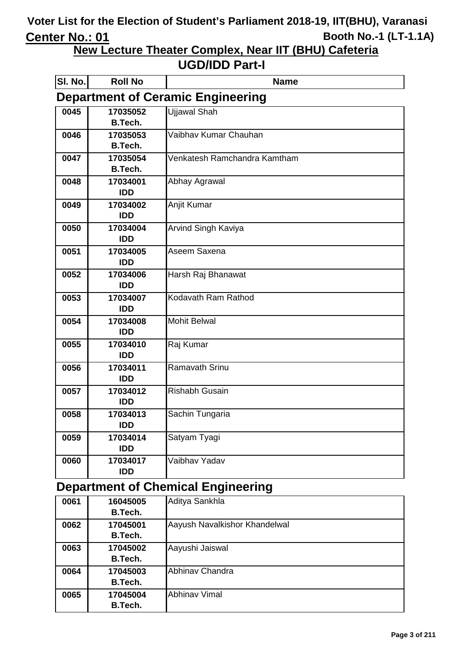**New Lecture Theater Complex, Near IIT (BHU) Cafeteria**

#### **UGD/IDD Part-I**

| SI. No. | <b>Roll No</b>         | <b>Name</b>                              |
|---------|------------------------|------------------------------------------|
|         |                        | <b>Department of Ceramic Engineering</b> |
| 0045    | 17035052               | <b>Ujjawal Shah</b>                      |
|         | <b>B.Tech.</b>         |                                          |
| 0046    | 17035053               | Vaibhav Kumar Chauhan                    |
|         | B.Tech.                |                                          |
| 0047    | 17035054               | Venkatesh Ramchandra Kamtham             |
|         | <b>B.Tech.</b>         |                                          |
| 0048    | 17034001               | Abhay Agrawal                            |
|         | <b>IDD</b>             |                                          |
| 0049    | 17034002               | Anjit Kumar                              |
|         | <b>IDD</b>             |                                          |
| 0050    | 17034004               | Arvind Singh Kaviya                      |
|         | <b>IDD</b>             | Aseem Saxena                             |
| 0051    | 17034005<br><b>IDD</b> |                                          |
| 0052    | 17034006               | Harsh Raj Bhanawat                       |
|         | <b>IDD</b>             |                                          |
| 0053    | 17034007               | Kodavath Ram Rathod                      |
|         | <b>IDD</b>             |                                          |
| 0054    | 17034008               | <b>Mohit Belwal</b>                      |
|         | <b>IDD</b>             |                                          |
| 0055    | 17034010               | Raj Kumar                                |
|         | <b>IDD</b>             |                                          |
| 0056    | 17034011               | Ramavath Srinu                           |
|         | <b>IDD</b>             |                                          |
| 0057    | 17034012               | <b>Rishabh Gusain</b>                    |
|         | <b>IDD</b>             |                                          |
| 0058    | 17034013               | Sachin Tungaria                          |
|         | <b>IDD</b>             |                                          |
| 0059    | 17034014               | Satyam Tyagi                             |
|         | <b>IDD</b>             |                                          |
| 0060    | 17034017               | Vaibhav Yadav                            |
|         | <b>IDD</b>             |                                          |

# **Department of Chemical Engineering**

| 0061 | 16045005       | Aditya Sankhla                |
|------|----------------|-------------------------------|
|      | <b>B.Tech.</b> |                               |
| 0062 | 17045001       | Aayush Navalkishor Khandelwal |
|      | <b>B.Tech.</b> |                               |
| 0063 | 17045002       | Aayushi Jaiswal               |
|      | <b>B.Tech.</b> |                               |
| 0064 | 17045003       | Abhinav Chandra               |
|      | B.Tech.        |                               |
| 0065 | 17045004       | <b>Abhinav Vimal</b>          |
|      | <b>B.Tech.</b> |                               |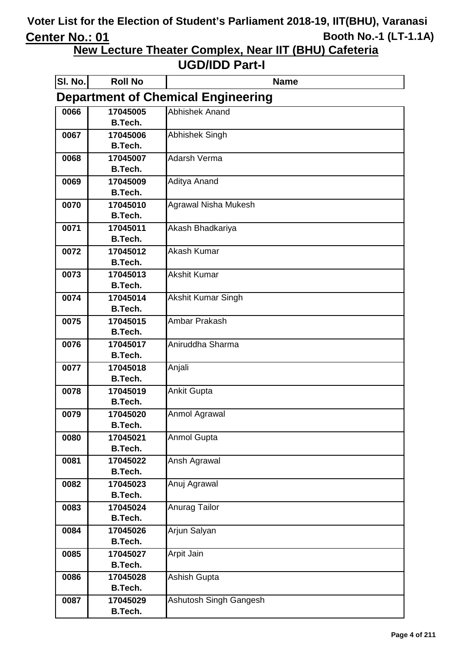**New Lecture Theater Complex, Near IIT (BHU) Cafeteria**

| SI. No. | <b>Roll No</b>                            | <b>Name</b>                 |  |  |
|---------|-------------------------------------------|-----------------------------|--|--|
|         | <b>Department of Chemical Engineering</b> |                             |  |  |
| 0066    | 17045005                                  | <b>Abhishek Anand</b>       |  |  |
|         | B.Tech.                                   |                             |  |  |
| 0067    | 17045006                                  | <b>Abhishek Singh</b>       |  |  |
|         | <b>B.Tech.</b>                            |                             |  |  |
| 0068    | 17045007                                  | <b>Adarsh Verma</b>         |  |  |
|         | <b>B.Tech.</b>                            |                             |  |  |
| 0069    | 17045009                                  | Aditya Anand                |  |  |
|         | <b>B.Tech.</b>                            |                             |  |  |
| 0070    | 17045010                                  | <b>Agrawal Nisha Mukesh</b> |  |  |
|         | B.Tech.                                   |                             |  |  |
| 0071    | 17045011                                  | Akash Bhadkariya            |  |  |
|         | <b>B.Tech.</b>                            |                             |  |  |
| 0072    | 17045012<br><b>B.Tech.</b>                | <b>Akash Kumar</b>          |  |  |
|         |                                           | <b>Akshit Kumar</b>         |  |  |
| 0073    | 17045013<br><b>B.Tech.</b>                |                             |  |  |
| 0074    | 17045014                                  | Akshit Kumar Singh          |  |  |
|         | <b>B.Tech.</b>                            |                             |  |  |
| 0075    | 17045015                                  | Ambar Prakash               |  |  |
|         | <b>B.Tech.</b>                            |                             |  |  |
| 0076    | 17045017                                  | Aniruddha Sharma            |  |  |
|         | <b>B.Tech.</b>                            |                             |  |  |
| 0077    | 17045018                                  | Anjali                      |  |  |
|         | <b>B.Tech.</b>                            |                             |  |  |
| 0078    | 17045019                                  | <b>Ankit Gupta</b>          |  |  |
|         | <b>B.Tech.</b>                            |                             |  |  |
| 0079    | 17045020                                  | Anmol Agrawal               |  |  |
|         | B.Tech.                                   |                             |  |  |
| 0080    | 17045021                                  | <b>Anmol Gupta</b>          |  |  |
|         | <b>B.Tech.</b>                            |                             |  |  |
| 0081    | 17045022                                  | Ansh Agrawal                |  |  |
|         | <b>B.Tech.</b>                            |                             |  |  |
| 0082    | 17045023                                  | Anuj Agrawal                |  |  |
|         | <b>B.Tech.</b>                            |                             |  |  |
| 0083    | 17045024                                  | Anurag Tailor               |  |  |
|         | <b>B.Tech.</b>                            |                             |  |  |
| 0084    | 17045026                                  | Arjun Salyan                |  |  |
|         | <b>B.Tech.</b>                            |                             |  |  |
| 0085    | 17045027                                  | Arpit Jain                  |  |  |
|         | <b>B.Tech.</b>                            |                             |  |  |
| 0086    | 17045028<br><b>B.Tech.</b>                | Ashish Gupta                |  |  |
|         | 17045029                                  |                             |  |  |
| 0087    | B.Tech.                                   | Ashutosh Singh Gangesh      |  |  |
|         |                                           |                             |  |  |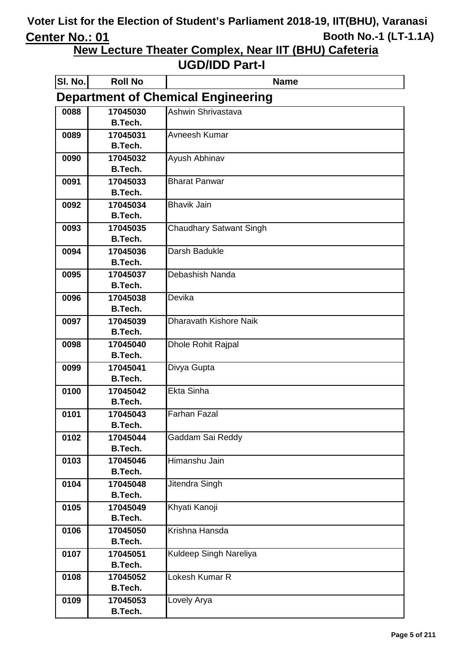**New Lecture Theater Complex, Near IIT (BHU) Cafeteria**

| SI. No.                                   | <b>Roll No</b>             | <b>Name</b>                    |  |
|-------------------------------------------|----------------------------|--------------------------------|--|
| <b>Department of Chemical Engineering</b> |                            |                                |  |
| 0088                                      | 17045030                   | Ashwin Shrivastava             |  |
|                                           | <b>B.Tech.</b>             |                                |  |
| 0089                                      | 17045031                   | Avneesh Kumar                  |  |
|                                           | <b>B.Tech.</b>             |                                |  |
| 0090                                      | 17045032                   | Ayush Abhinav                  |  |
|                                           | <b>B.Tech.</b>             |                                |  |
| 0091                                      | 17045033                   | <b>Bharat Panwar</b>           |  |
|                                           | <b>B.Tech.</b>             |                                |  |
| 0092                                      | 17045034                   | <b>Bhavik Jain</b>             |  |
|                                           | B.Tech.                    |                                |  |
| 0093                                      | 17045035<br>B.Tech.        | <b>Chaudhary Satwant Singh</b> |  |
|                                           |                            | Darsh Badukle                  |  |
| 0094                                      | 17045036<br><b>B.Tech.</b> |                                |  |
| 0095                                      | 17045037                   | Debashish Nanda                |  |
|                                           | <b>B.Tech.</b>             |                                |  |
| 0096                                      | 17045038                   | Devika                         |  |
|                                           | <b>B.Tech.</b>             |                                |  |
| 0097                                      | 17045039                   | <b>Dharavath Kishore Naik</b>  |  |
|                                           | <b>B.Tech.</b>             |                                |  |
| 0098                                      | 17045040                   | Dhole Rohit Rajpal             |  |
|                                           | <b>B.Tech.</b>             |                                |  |
| 0099                                      | 17045041                   | Divya Gupta                    |  |
|                                           | <b>B.Tech.</b>             |                                |  |
| 0100                                      | 17045042                   | <b>Ekta Sinha</b>              |  |
|                                           | <b>B.Tech.</b>             |                                |  |
| 0101                                      | 17045043                   | <b>Farhan Fazal</b>            |  |
|                                           | B.Tech.                    |                                |  |
| 0102                                      | 17045044                   | Gaddam Sai Reddy               |  |
|                                           | <b>B.Tech.</b>             |                                |  |
| 0103                                      | 17045046                   | Himanshu Jain                  |  |
|                                           | <b>B.Tech.</b>             |                                |  |
| 0104                                      | 17045048                   | Jitendra Singh                 |  |
|                                           | <b>B.Tech.</b>             |                                |  |
| 0105                                      | 17045049<br><b>B.Tech.</b> | Khyati Kanoji                  |  |
|                                           |                            | Krishna Hansda                 |  |
| 0106                                      | 17045050<br><b>B.Tech.</b> |                                |  |
| 0107                                      | 17045051                   | Kuldeep Singh Nareliya         |  |
|                                           | <b>B.Tech.</b>             |                                |  |
| 0108                                      | 17045052                   | Lokesh Kumar R                 |  |
|                                           | <b>B.Tech.</b>             |                                |  |
| 0109                                      | 17045053                   | Lovely Arya                    |  |
|                                           | <b>B.Tech.</b>             |                                |  |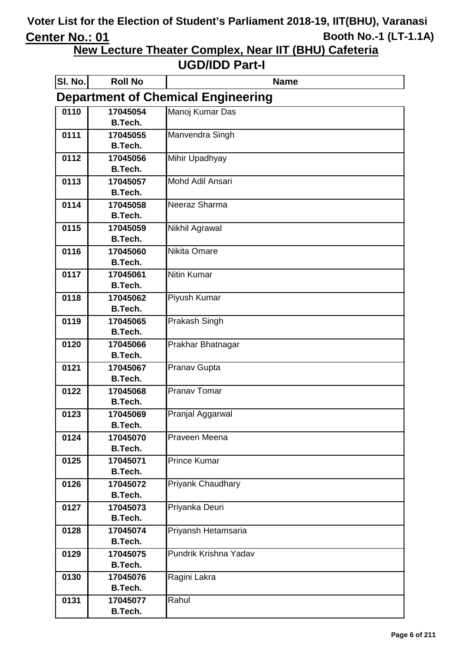**New Lecture Theater Complex, Near IIT (BHU) Cafeteria**

| SI. No. | <b>Roll No</b>             | <b>Name</b>                               |
|---------|----------------------------|-------------------------------------------|
|         |                            | <b>Department of Chemical Engineering</b> |
| 0110    | 17045054                   | Manoj Kumar Das                           |
|         | <b>B.Tech.</b>             |                                           |
| 0111    | 17045055                   | Manvendra Singh                           |
|         | <b>B.Tech.</b>             |                                           |
| 0112    | 17045056                   | Mihir Upadhyay                            |
|         | <b>B.Tech.</b>             |                                           |
| 0113    | 17045057                   | Mohd Adil Ansari                          |
|         | <b>B.Tech.</b>             |                                           |
| 0114    | 17045058                   | Neeraz Sharma                             |
|         | <b>B.Tech.</b>             |                                           |
| 0115    | 17045059                   | Nikhil Agrawal                            |
|         | <b>B.Tech.</b>             |                                           |
| 0116    | 17045060                   | Nikita Omare                              |
|         | <b>B.Tech.</b>             |                                           |
| 0117    | 17045061                   | <b>Nitin Kumar</b>                        |
|         | <b>B.Tech.</b>             |                                           |
| 0118    | 17045062                   | <b>Piyush Kumar</b>                       |
|         | <b>B.Tech.</b>             |                                           |
| 0119    | 17045065<br><b>B.Tech.</b> | Prakash Singh                             |
| 0120    |                            |                                           |
|         | 17045066<br><b>B.Tech.</b> | Prakhar Bhatnagar                         |
| 0121    | 17045067                   | Pranav Gupta                              |
|         | <b>B.Tech.</b>             |                                           |
| 0122    | 17045068                   | <b>Pranav Tomar</b>                       |
|         | <b>B.Tech.</b>             |                                           |
| 0123    | 17045069                   | Pranjal Aggarwal                          |
|         | <b>B.Tech.</b>             |                                           |
| 0124    | 17045070                   | Praveen Meena                             |
|         | <b>B.Tech.</b>             |                                           |
| 0125    | 17045071                   | <b>Prince Kumar</b>                       |
|         | <b>B.Tech.</b>             |                                           |
| 0126    | 17045072                   | Priyank Chaudhary                         |
|         | <b>B.Tech.</b>             |                                           |
| 0127    | 17045073                   | Priyanka Deuri                            |
|         | <b>B.Tech.</b>             |                                           |
| 0128    | 17045074                   | Priyansh Hetamsaria                       |
|         | <b>B.Tech.</b>             |                                           |
| 0129    | 17045075                   | Pundrik Krishna Yadav                     |
|         | <b>B.Tech.</b>             |                                           |
| 0130    | 17045076                   | Ragini Lakra                              |
|         | <b>B.Tech.</b>             |                                           |
| 0131    | 17045077                   | Rahul                                     |
|         | B.Tech.                    |                                           |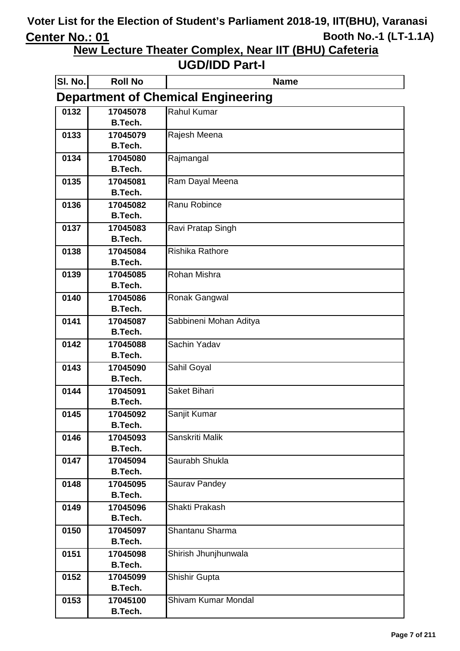**New Lecture Theater Complex, Near IIT (BHU) Cafeteria**

| SI. No.                                   | <b>Roll No</b>             | <b>Name</b>            |
|-------------------------------------------|----------------------------|------------------------|
| <b>Department of Chemical Engineering</b> |                            |                        |
| 0132                                      | 17045078                   | <b>Rahul Kumar</b>     |
|                                           | <b>B.Tech.</b>             |                        |
| 0133                                      | 17045079                   | Rajesh Meena           |
|                                           | <b>B.Tech.</b>             |                        |
| 0134                                      | 17045080                   | Rajmangal              |
|                                           | B.Tech.                    |                        |
| 0135                                      | 17045081                   | Ram Dayal Meena        |
|                                           | <b>B.Tech.</b>             |                        |
| 0136                                      | 17045082                   | Ranu Robince           |
|                                           | B.Tech.                    |                        |
| 0137                                      | 17045083<br><b>B.Tech.</b> | Ravi Pratap Singh      |
|                                           |                            |                        |
| 0138                                      | 17045084<br><b>B.Tech.</b> | <b>Rishika Rathore</b> |
| 0139                                      | 17045085                   | Rohan Mishra           |
|                                           | <b>B.Tech.</b>             |                        |
| 0140                                      | 17045086                   | Ronak Gangwal          |
|                                           | <b>B.Tech.</b>             |                        |
| 0141                                      | 17045087                   | Sabbineni Mohan Aditya |
|                                           | <b>B.Tech.</b>             |                        |
| 0142                                      | 17045088                   | Sachin Yadav           |
|                                           | <b>B.Tech.</b>             |                        |
| 0143                                      | 17045090                   | Sahil Goyal            |
|                                           | <b>B.Tech.</b>             |                        |
| 0144                                      | 17045091                   | Saket Bihari           |
|                                           | <b>B.Tech.</b>             |                        |
| 0145                                      | 17045092                   | Sanjit Kumar           |
|                                           | B.Tech.                    |                        |
| 0146                                      | 17045093                   | Sanskriti Malik        |
|                                           | <b>B.Tech.</b>             |                        |
| 0147                                      | 17045094                   | Saurabh Shukla         |
|                                           | <b>B.Tech.</b>             |                        |
| 0148                                      | 17045095                   | Saurav Pandey          |
|                                           | <b>B.Tech.</b>             |                        |
| 0149                                      | 17045096<br><b>B.Tech.</b> | Shakti Prakash         |
|                                           |                            | Shantanu Sharma        |
| 0150                                      | 17045097<br><b>B.Tech.</b> |                        |
| 0151                                      | 17045098                   | Shirish Jhunjhunwala   |
|                                           | <b>B.Tech.</b>             |                        |
| 0152                                      | 17045099                   | Shishir Gupta          |
|                                           | <b>B.Tech.</b>             |                        |
| 0153                                      | 17045100                   | Shivam Kumar Mondal    |
|                                           | <b>B.Tech.</b>             |                        |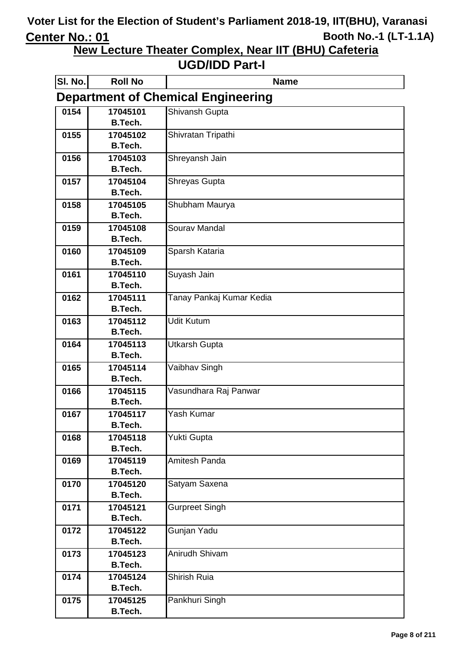**New Lecture Theater Complex, Near IIT (BHU) Cafeteria**

| SI. No.                                   | <b>Roll No</b>             | <b>Name</b>              |
|-------------------------------------------|----------------------------|--------------------------|
| <b>Department of Chemical Engineering</b> |                            |                          |
| 0154                                      | 17045101                   | Shivansh Gupta           |
|                                           | <b>B.Tech.</b>             |                          |
| 0155                                      | 17045102                   | Shivratan Tripathi       |
|                                           | <b>B.Tech.</b>             |                          |
| 0156                                      | 17045103                   | Shreyansh Jain           |
|                                           | <b>B.Tech.</b>             |                          |
| 0157                                      | 17045104                   | Shreyas Gupta            |
|                                           | <b>B.Tech.</b>             |                          |
| 0158                                      | 17045105<br><b>B.Tech.</b> | Shubham Maurya           |
| 0159                                      | 17045108                   | Sourav Mandal            |
|                                           | <b>B.Tech.</b>             |                          |
| 0160                                      | 17045109                   | Sparsh Kataria           |
|                                           | <b>B.Tech.</b>             |                          |
| 0161                                      | 17045110                   | Suyash Jain              |
|                                           | <b>B.Tech.</b>             |                          |
| 0162                                      | 17045111                   | Tanay Pankaj Kumar Kedia |
|                                           | <b>B.Tech.</b>             |                          |
| 0163                                      | 17045112                   | <b>Udit Kutum</b>        |
|                                           | <b>B.Tech.</b>             |                          |
| 0164                                      | 17045113                   | <b>Utkarsh Gupta</b>     |
|                                           | <b>B.Tech.</b>             |                          |
| 0165                                      | 17045114                   | Vaibhav Singh            |
|                                           | <b>B.Tech.</b>             |                          |
| 0166                                      | 17045115                   | Vasundhara Raj Panwar    |
|                                           | <b>B.Tech.</b>             |                          |
| 0167                                      | 17045117<br>B.Tech.        | Yash Kumar               |
| 0168                                      | 17045118                   | Yukti Gupta              |
|                                           | <b>B.Tech.</b>             |                          |
| 0169                                      | 17045119                   | Amitesh Panda            |
|                                           | <b>B.Tech.</b>             |                          |
| 0170                                      | 17045120                   | Satyam Saxena            |
|                                           | <b>B.Tech.</b>             |                          |
| 0171                                      | 17045121                   | Gurpreet Singh           |
|                                           | <b>B.Tech.</b>             |                          |
| 0172                                      | 17045122                   | Gunjan Yadu              |
|                                           | <b>B.Tech.</b>             |                          |
| 0173                                      | 17045123                   | Anirudh Shivam           |
|                                           | <b>B.Tech.</b>             |                          |
| 0174                                      | 17045124                   | Shirish Ruia             |
|                                           | <b>B.Tech.</b>             |                          |
| 0175                                      | 17045125                   | Pankhuri Singh           |
|                                           | <b>B.Tech.</b>             |                          |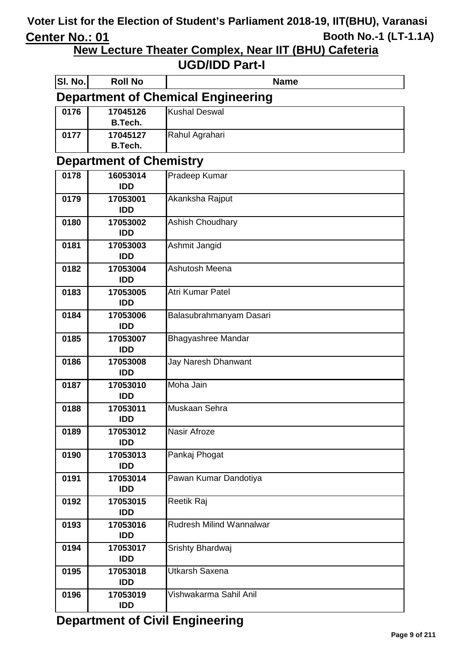**New Lecture Theater Complex, Near IIT (BHU) Cafeteria**

| SI. No.                                   | <b>Roll No</b>                 | <b>Name</b>                     |  |
|-------------------------------------------|--------------------------------|---------------------------------|--|
| <b>Department of Chemical Engineering</b> |                                |                                 |  |
| 0176                                      | 17045126<br><b>B.Tech.</b>     | <b>Kushal Deswal</b>            |  |
| 0177                                      | 17045127<br><b>B.Tech.</b>     | Rahul Agrahari                  |  |
|                                           | <b>Department of Chemistry</b> |                                 |  |
| 0178                                      | 16053014                       | Pradeep Kumar                   |  |
|                                           | <b>IDD</b>                     |                                 |  |
| 0179                                      | 17053001<br><b>IDD</b>         | Akanksha Rajput                 |  |
| 0180                                      | 17053002                       | <b>Ashish Choudhary</b>         |  |
|                                           | <b>IDD</b>                     |                                 |  |
| 0181                                      | 17053003                       | Ashmit Jangid                   |  |
|                                           | <b>IDD</b>                     |                                 |  |
| 0182                                      | 17053004<br><b>IDD</b>         | Ashutosh Meena                  |  |
| 0183                                      | 17053005                       | Atri Kumar Patel                |  |
|                                           | <b>IDD</b>                     |                                 |  |
| 0184                                      | 17053006                       | Balasubrahmanyam Dasari         |  |
|                                           | <b>IDD</b>                     |                                 |  |
| 0185                                      | 17053007<br><b>IDD</b>         | <b>Bhagyashree Mandar</b>       |  |
| 0186                                      | 17053008                       | Jay Naresh Dhanwant             |  |
|                                           | <b>IDD</b>                     |                                 |  |
| 0187                                      | 17053010                       | Moha Jain                       |  |
|                                           | <b>IDD</b>                     | Muskaan Sehra                   |  |
| 0188                                      | 17053011<br><b>IDD</b>         |                                 |  |
| 0189                                      | 17053012                       | Nasir Afroze                    |  |
|                                           | <b>IDD</b>                     |                                 |  |
| 0190                                      | 17053013<br><b>IDD</b>         | Pankaj Phogat                   |  |
| 0191                                      | 17053014<br><b>IDD</b>         | Pawan Kumar Dandotiya           |  |
| 0192                                      | 17053015<br><b>IDD</b>         | Reetik Raj                      |  |
| 0193                                      | 17053016<br><b>IDD</b>         | <b>Rudresh Milind Wannalwar</b> |  |
| 0194                                      | 17053017<br><b>IDD</b>         | Srishty Bhardwaj                |  |
| 0195                                      | 17053018<br><b>IDD</b>         | Utkarsh Saxena                  |  |
| 0196                                      | 17053019<br><b>IDD</b>         | Vishwakarma Sahil Anil          |  |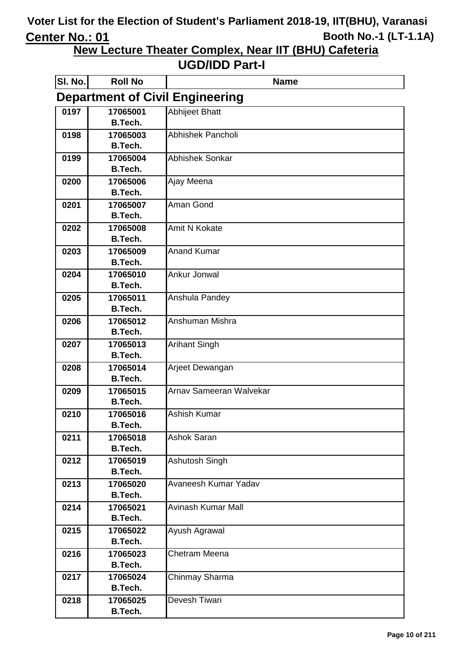**New Lecture Theater Complex, Near IIT (BHU) Cafeteria**

| SI. No.                                | <b>Roll No</b>             | <b>Name</b>               |  |
|----------------------------------------|----------------------------|---------------------------|--|
| <b>Department of Civil Engineering</b> |                            |                           |  |
| 0197                                   | 17065001                   | <b>Abhijeet Bhatt</b>     |  |
|                                        | B.Tech.                    |                           |  |
| 0198                                   | 17065003                   | Abhishek Pancholi         |  |
|                                        | <b>B.Tech.</b>             |                           |  |
| 0199                                   | 17065004                   | <b>Abhishek Sonkar</b>    |  |
|                                        | B.Tech.                    |                           |  |
| 0200                                   | 17065006                   | Ajay Meena                |  |
|                                        | B.Tech.                    |                           |  |
| 0201                                   | 17065007                   | Aman Gond                 |  |
|                                        | B.Tech.                    |                           |  |
| 0202                                   | 17065008                   | <b>Amit N Kokate</b>      |  |
|                                        | B.Tech.                    |                           |  |
| 0203                                   | 17065009<br>B.Tech.        | <b>Anand Kumar</b>        |  |
|                                        | 17065010                   | Ankur Jonwal              |  |
| 0204                                   | <b>B.Tech.</b>             |                           |  |
| 0205                                   | 17065011                   | Anshula Pandey            |  |
|                                        | <b>B.Tech.</b>             |                           |  |
| 0206                                   | 17065012                   | Anshuman Mishra           |  |
|                                        | <b>B.Tech.</b>             |                           |  |
| 0207                                   | 17065013                   | <b>Arihant Singh</b>      |  |
|                                        | <b>B.Tech.</b>             |                           |  |
| 0208                                   | 17065014                   | Arjeet Dewangan           |  |
|                                        | <b>B.Tech.</b>             |                           |  |
| 0209                                   | 17065015                   | Arnav Sameeran Walvekar   |  |
|                                        | <b>B.Tech.</b>             |                           |  |
| 0210                                   | 17065016                   | <b>Ashish Kumar</b>       |  |
|                                        | B.Tech.                    |                           |  |
| 0211                                   | 17065018                   | <b>Ashok Saran</b>        |  |
|                                        | B.Tech.                    |                           |  |
| 0212                                   | 17065019                   | Ashutosh Singh            |  |
|                                        | <b>B.Tech.</b>             |                           |  |
| 0213                                   | 17065020                   | Avaneesh Kumar Yadav      |  |
|                                        | <b>B.Tech.</b>             |                           |  |
| 0214                                   | 17065021                   | <b>Avinash Kumar Mall</b> |  |
|                                        | <b>B.Tech.</b>             |                           |  |
| 0215                                   | 17065022                   | Ayush Agrawal             |  |
|                                        | <b>B.Tech.</b>             |                           |  |
| 0216                                   | 17065023<br><b>B.Tech.</b> | Chetram Meena             |  |
| 0217                                   | 17065024                   | Chinmay Sharma            |  |
|                                        | <b>B.Tech.</b>             |                           |  |
| 0218                                   | 17065025                   | Devesh Tiwari             |  |
|                                        | <b>B.Tech.</b>             |                           |  |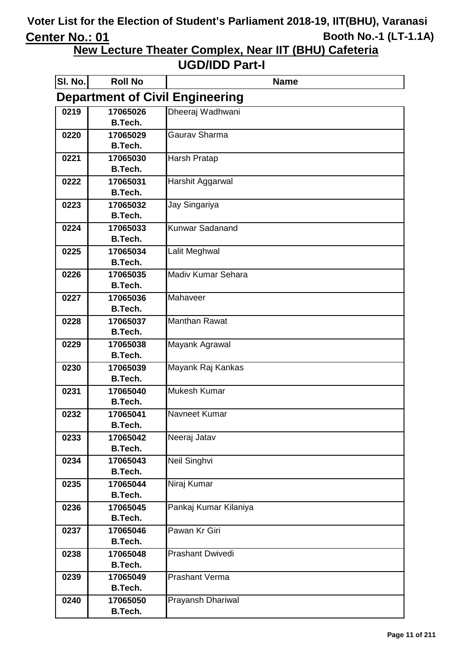**New Lecture Theater Complex, Near IIT (BHU) Cafeteria**

| SI. No. | <b>Roll No</b>                         | <b>Name</b>             |  |  |
|---------|----------------------------------------|-------------------------|--|--|
|         | <b>Department of Civil Engineering</b> |                         |  |  |
| 0219    | 17065026                               | Dheeraj Wadhwani        |  |  |
|         | <b>B.Tech.</b>                         |                         |  |  |
| 0220    | 17065029                               | <b>Gaurav Sharma</b>    |  |  |
|         | <b>B.Tech.</b>                         |                         |  |  |
| 0221    | 17065030                               | <b>Harsh Pratap</b>     |  |  |
|         | B.Tech.                                |                         |  |  |
| 0222    | 17065031                               | Harshit Aggarwal        |  |  |
|         | B.Tech.                                |                         |  |  |
| 0223    | 17065032                               | Jay Singariya           |  |  |
|         | B.Tech.                                |                         |  |  |
| 0224    | 17065033                               | <b>Kunwar Sadanand</b>  |  |  |
|         | B.Tech.                                |                         |  |  |
| 0225    | 17065034<br><b>B.Tech.</b>             | Lalit Meghwal           |  |  |
|         | 17065035                               | Madiv Kumar Sehara      |  |  |
| 0226    | <b>B.Tech.</b>                         |                         |  |  |
| 0227    | 17065036                               | Mahaveer                |  |  |
|         | <b>B.Tech.</b>                         |                         |  |  |
| 0228    | 17065037                               | <b>Manthan Rawat</b>    |  |  |
|         | <b>B.Tech.</b>                         |                         |  |  |
| 0229    | 17065038                               | Mayank Agrawal          |  |  |
|         | <b>B.Tech.</b>                         |                         |  |  |
| 0230    | 17065039                               | Mayank Raj Kankas       |  |  |
|         | <b>B.Tech.</b>                         |                         |  |  |
| 0231    | 17065040                               | Mukesh Kumar            |  |  |
|         | <b>B.Tech.</b>                         |                         |  |  |
| 0232    | 17065041                               | Navneet Kumar           |  |  |
|         | B.Tech.                                |                         |  |  |
| 0233    | 17065042                               | Neeraj Jatav            |  |  |
|         | <b>B.Tech.</b>                         |                         |  |  |
| 0234    | 17065043                               | Neil Singhvi            |  |  |
|         | <b>B.Tech.</b>                         |                         |  |  |
| 0235    | 17065044                               | Niraj Kumar             |  |  |
|         | <b>B.Tech.</b>                         |                         |  |  |
| 0236    | 17065045                               | Pankaj Kumar Kilaniya   |  |  |
|         | <b>B.Tech.</b>                         |                         |  |  |
| 0237    | 17065046                               | Pawan Kr Giri           |  |  |
|         | <b>B.Tech.</b>                         |                         |  |  |
| 0238    | 17065048                               | <b>Prashant Dwivedi</b> |  |  |
|         | <b>B.Tech.</b>                         | <b>Prashant Verma</b>   |  |  |
| 0239    | 17065049<br><b>B.Tech.</b>             |                         |  |  |
| 0240    | 17065050                               | Prayansh Dhariwal       |  |  |
|         | <b>B.Tech.</b>                         |                         |  |  |
|         |                                        |                         |  |  |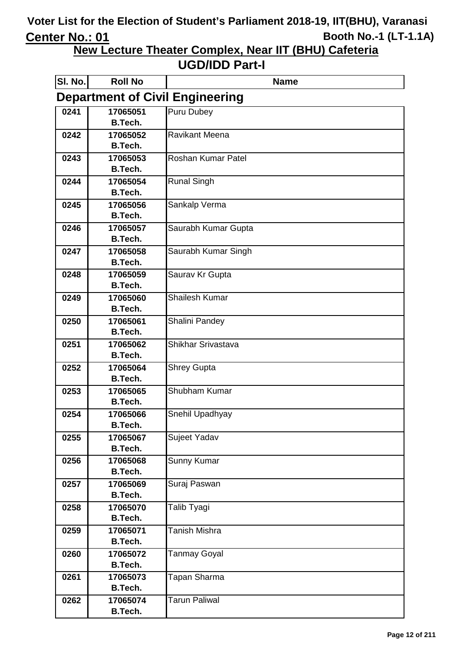**New Lecture Theater Complex, Near IIT (BHU) Cafeteria**

| SI. No.                                | <b>Roll No</b>             | <b>Name</b>               |  |  |
|----------------------------------------|----------------------------|---------------------------|--|--|
| <b>Department of Civil Engineering</b> |                            |                           |  |  |
| 0241                                   | 17065051<br><b>B.Tech.</b> | Puru Dubey                |  |  |
| 0242                                   | 17065052                   | <b>Ravikant Meena</b>     |  |  |
|                                        | <b>B.Tech.</b>             |                           |  |  |
| 0243                                   | 17065053<br><b>B.Tech.</b> | <b>Roshan Kumar Patel</b> |  |  |
| 0244                                   | 17065054                   | <b>Runal Singh</b>        |  |  |
|                                        | <b>B.Tech.</b>             |                           |  |  |
| 0245                                   | 17065056                   | Sankalp Verma             |  |  |
|                                        | <b>B.Tech.</b>             |                           |  |  |
| 0246                                   | 17065057                   | Saurabh Kumar Gupta       |  |  |
|                                        | <b>B.Tech.</b>             |                           |  |  |
| 0247                                   | 17065058<br><b>B.Tech.</b> | Saurabh Kumar Singh       |  |  |
| 0248                                   | 17065059                   | Saurav Kr Gupta           |  |  |
|                                        | <b>B.Tech.</b>             |                           |  |  |
| 0249                                   | 17065060                   | <b>Shailesh Kumar</b>     |  |  |
|                                        | <b>B.Tech.</b>             |                           |  |  |
| 0250                                   | 17065061                   | Shalini Pandey            |  |  |
|                                        | <b>B.Tech.</b>             |                           |  |  |
| 0251                                   | 17065062                   | Shikhar Srivastava        |  |  |
|                                        | <b>B.Tech.</b>             |                           |  |  |
| 0252                                   | 17065064<br><b>B.Tech.</b> | <b>Shrey Gupta</b>        |  |  |
| 0253                                   | 17065065                   | Shubham Kumar             |  |  |
|                                        | <b>B.Tech.</b>             |                           |  |  |
| 0254                                   | 17065066                   | Snehil Upadhyay           |  |  |
|                                        | <b>B.Tech.</b>             |                           |  |  |
| 0255                                   | 17065067                   | Sujeet Yadav              |  |  |
|                                        | <b>B.Tech.</b>             |                           |  |  |
| 0256                                   | 17065068                   | Sunny Kumar               |  |  |
| 0257                                   | <b>B.Tech.</b><br>17065069 | Suraj Paswan              |  |  |
|                                        | <b>B.Tech.</b>             |                           |  |  |
| 0258                                   | 17065070                   | Talib Tyagi               |  |  |
|                                        | <b>B.Tech.</b>             |                           |  |  |
| 0259                                   | 17065071                   | <b>Tanish Mishra</b>      |  |  |
|                                        | B.Tech.                    |                           |  |  |
| 0260                                   | 17065072                   | <b>Tanmay Goyal</b>       |  |  |
| 0261                                   | <b>B.Tech.</b><br>17065073 | Tapan Sharma              |  |  |
|                                        | <b>B.Tech.</b>             |                           |  |  |
| 0262                                   | 17065074                   | <b>Tarun Paliwal</b>      |  |  |
|                                        | <b>B.Tech.</b>             |                           |  |  |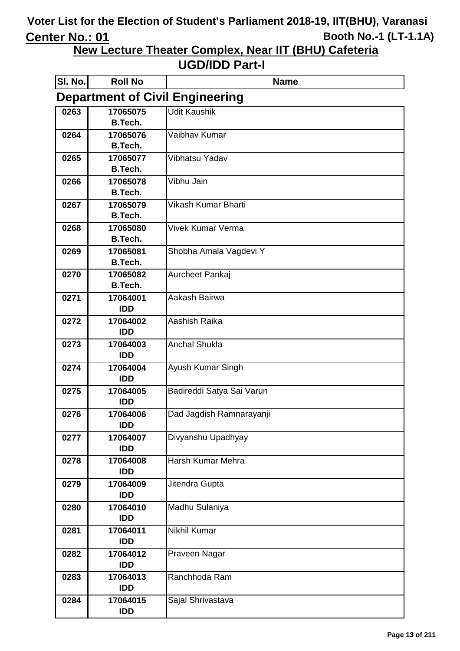**New Lecture Theater Complex, Near IIT (BHU) Cafeteria**

| SI. No.                                | <b>Roll No</b>             | <b>Name</b>               |  |
|----------------------------------------|----------------------------|---------------------------|--|
| <b>Department of Civil Engineering</b> |                            |                           |  |
| 0263                                   | 17065075                   | <b>Udit Kaushik</b>       |  |
|                                        | <b>B.Tech.</b>             |                           |  |
| 0264                                   | 17065076                   | Vaibhav Kumar             |  |
|                                        | <b>B.Tech.</b>             |                           |  |
| 0265                                   | 17065077                   | Vibhatsu Yadav            |  |
|                                        | <b>B.Tech.</b>             |                           |  |
| 0266                                   | 17065078                   | Vibhu Jain                |  |
|                                        | <b>B.Tech.</b>             | Vikash Kumar Bharti       |  |
| 0267                                   | 17065079<br><b>B.Tech.</b> |                           |  |
| 0268                                   | 17065080                   | <b>Vivek Kumar Verma</b>  |  |
|                                        | <b>B.Tech.</b>             |                           |  |
| 0269                                   | 17065081                   | Shobha Amala Vagdevi Y    |  |
|                                        | <b>B.Tech.</b>             |                           |  |
| 0270                                   | 17065082                   | Aurcheet Pankaj           |  |
|                                        | <b>B.Tech.</b>             |                           |  |
| 0271                                   | 17064001                   | Aakash Bairwa             |  |
|                                        | <b>IDD</b>                 |                           |  |
| 0272                                   | 17064002                   | Aashish Raika             |  |
|                                        | <b>IDD</b>                 |                           |  |
| 0273                                   | 17064003                   | <b>Anchal Shukla</b>      |  |
|                                        | <b>IDD</b>                 |                           |  |
| 0274                                   | 17064004                   | Ayush Kumar Singh         |  |
|                                        | <b>IDD</b>                 |                           |  |
| 0275                                   | 17064005<br><b>IDD</b>     | Badireddi Satya Sai Varun |  |
| 0276                                   | 17064006                   | Dad Jagdish Ramnarayanji  |  |
|                                        | <b>IDD</b>                 |                           |  |
| 0277                                   | 17064007                   | Divyanshu Upadhyay        |  |
|                                        | <b>IDD</b>                 |                           |  |
| 0278                                   | 17064008                   | Harsh Kumar Mehra         |  |
|                                        | <b>IDD</b>                 |                           |  |
| 0279                                   | 17064009                   | Jitendra Gupta            |  |
|                                        | <b>IDD</b>                 |                           |  |
| 0280                                   | 17064010                   | Madhu Sulaniya            |  |
|                                        | <b>IDD</b>                 |                           |  |
| 0281                                   | 17064011                   | Nikhil Kumar              |  |
|                                        | <b>IDD</b>                 |                           |  |
| 0282                                   | 17064012                   | Praveen Nagar             |  |
|                                        | <b>IDD</b>                 |                           |  |
| 0283                                   | 17064013<br><b>IDD</b>     | Ranchhoda Ram             |  |
| 0284                                   | 17064015                   | Sajal Shrivastava         |  |
|                                        | <b>IDD</b>                 |                           |  |
|                                        |                            |                           |  |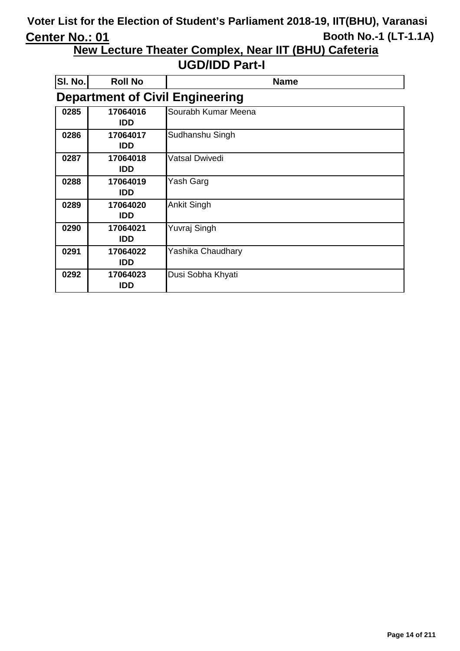**New Lecture Theater Complex, Near IIT (BHU) Cafeteria**

| SI. No. | <b>Roll No</b>         | <b>Name</b>                            |
|---------|------------------------|----------------------------------------|
|         |                        | <b>Department of Civil Engineering</b> |
| 0285    | 17064016<br><b>IDD</b> | Sourabh Kumar Meena                    |
| 0286    | 17064017<br><b>IDD</b> | Sudhanshu Singh                        |
| 0287    | 17064018<br><b>IDD</b> | Vatsal Dwivedi                         |
| 0288    | 17064019<br><b>IDD</b> | Yash Garg                              |
| 0289    | 17064020<br><b>IDD</b> | <b>Ankit Singh</b>                     |
| 0290    | 17064021<br><b>IDD</b> | Yuvraj Singh                           |
| 0291    | 17064022<br><b>IDD</b> | Yashika Chaudhary                      |
| 0292    | 17064023<br>IDD        | Dusi Sobha Khyati                      |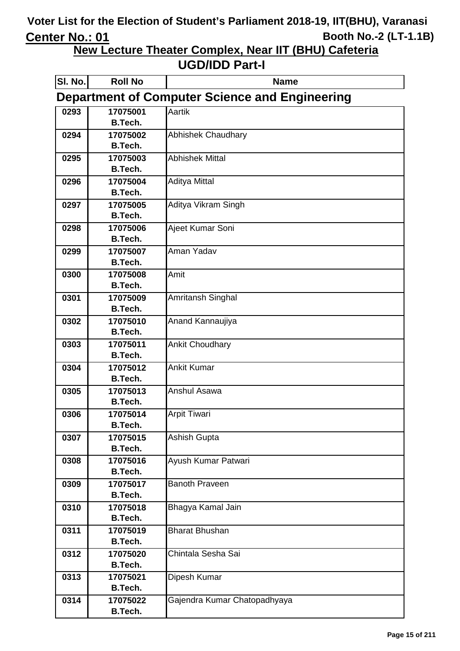**New Lecture Theater Complex, Near IIT (BHU) Cafeteria**

| SI. No.                                               | <b>Roll No</b>             | <b>Name</b>                  |  |  |
|-------------------------------------------------------|----------------------------|------------------------------|--|--|
| <b>Department of Computer Science and Engineering</b> |                            |                              |  |  |
| 0293                                                  | 17075001                   | Aartik                       |  |  |
|                                                       | <b>B.Tech.</b>             |                              |  |  |
| 0294                                                  | 17075002                   | <b>Abhishek Chaudhary</b>    |  |  |
|                                                       | <b>B.Tech.</b>             |                              |  |  |
| 0295                                                  | 17075003                   | <b>Abhishek Mittal</b>       |  |  |
|                                                       | <b>B.Tech.</b>             |                              |  |  |
| 0296                                                  | 17075004                   | <b>Aditya Mittal</b>         |  |  |
|                                                       | <b>B.Tech.</b>             |                              |  |  |
| 0297                                                  | 17075005                   | Aditya Vikram Singh          |  |  |
|                                                       | <b>B.Tech.</b>             |                              |  |  |
| 0298                                                  | 17075006                   | Ajeet Kumar Soni             |  |  |
|                                                       | <b>B.Tech.</b>             |                              |  |  |
| 0299                                                  | 17075007<br><b>B.Tech.</b> | Aman Yadav                   |  |  |
|                                                       |                            | Amit                         |  |  |
| 0300                                                  | 17075008<br><b>B.Tech.</b> |                              |  |  |
| 0301                                                  | 17075009                   | Amritansh Singhal            |  |  |
|                                                       | <b>B.Tech.</b>             |                              |  |  |
| 0302                                                  | 17075010                   | Anand Kannaujiya             |  |  |
|                                                       | <b>B.Tech.</b>             |                              |  |  |
| 0303                                                  | 17075011                   | <b>Ankit Choudhary</b>       |  |  |
|                                                       | <b>B.Tech.</b>             |                              |  |  |
| 0304                                                  | 17075012                   | <b>Ankit Kumar</b>           |  |  |
|                                                       | <b>B.Tech.</b>             |                              |  |  |
| 0305                                                  | 17075013                   | <b>Anshul Asawa</b>          |  |  |
|                                                       | <b>B.Tech.</b>             |                              |  |  |
| 0306                                                  | 17075014                   | <b>Arpit Tiwari</b>          |  |  |
|                                                       | <b>B.Tech.</b>             |                              |  |  |
| 0307                                                  | 17075015                   | Ashish Gupta                 |  |  |
|                                                       | <b>B.Tech.</b>             |                              |  |  |
| 0308                                                  | 17075016                   | Ayush Kumar Patwari          |  |  |
|                                                       | <b>B.Tech.</b>             |                              |  |  |
| 0309                                                  | 17075017                   | <b>Banoth Praveen</b>        |  |  |
|                                                       | <b>B.Tech.</b>             |                              |  |  |
| 0310                                                  | 17075018                   | Bhagya Kamal Jain            |  |  |
|                                                       | <b>B.Tech.</b>             |                              |  |  |
| 0311                                                  | 17075019                   | <b>Bharat Bhushan</b>        |  |  |
|                                                       | <b>B.Tech.</b>             |                              |  |  |
| 0312                                                  | 17075020                   | Chintala Sesha Sai           |  |  |
|                                                       | <b>B.Tech.</b>             |                              |  |  |
| 0313                                                  | 17075021                   | Dipesh Kumar                 |  |  |
|                                                       | <b>B.Tech.</b>             |                              |  |  |
| 0314                                                  | 17075022                   | Gajendra Kumar Chatopadhyaya |  |  |
|                                                       | <b>B.Tech.</b>             |                              |  |  |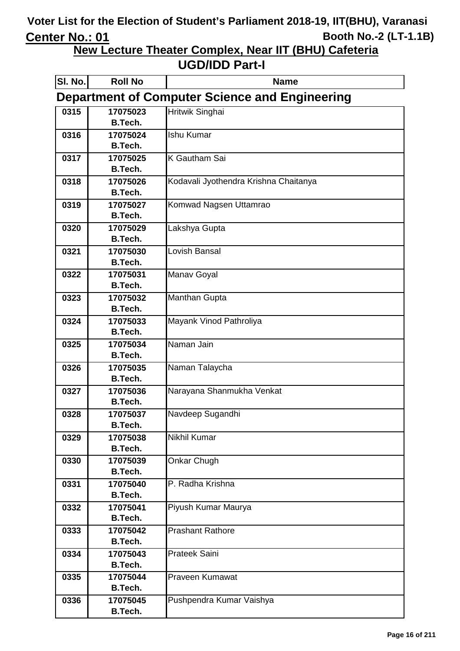**New Lecture Theater Complex, Near IIT (BHU) Cafeteria**

| SI. No.                                               | <b>Roll No</b>             | <b>Name</b>                           |  |  |
|-------------------------------------------------------|----------------------------|---------------------------------------|--|--|
| <b>Department of Computer Science and Engineering</b> |                            |                                       |  |  |
| 0315                                                  | 17075023                   | Hritwik Singhai                       |  |  |
|                                                       | <b>B.Tech.</b>             |                                       |  |  |
| 0316                                                  | 17075024                   | <b>Ishu Kumar</b>                     |  |  |
|                                                       | <b>B.Tech.</b>             |                                       |  |  |
| 0317                                                  | 17075025                   | K Gautham Sai                         |  |  |
|                                                       | B.Tech.                    |                                       |  |  |
| 0318                                                  | 17075026                   | Kodavali Jyothendra Krishna Chaitanya |  |  |
|                                                       | <b>B.Tech.</b>             |                                       |  |  |
| 0319                                                  | 17075027                   | Komwad Nagsen Uttamrao                |  |  |
|                                                       | <b>B.Tech.</b>             |                                       |  |  |
| 0320                                                  | 17075029                   | Lakshya Gupta                         |  |  |
|                                                       | <b>B.Tech.</b>             |                                       |  |  |
| 0321                                                  | 17075030                   | Lovish Bansal                         |  |  |
|                                                       | <b>B.Tech.</b>             |                                       |  |  |
| 0322                                                  | 17075031                   | Manav Goyal                           |  |  |
|                                                       | <b>B.Tech.</b>             |                                       |  |  |
| 0323                                                  | 17075032                   | <b>Manthan Gupta</b>                  |  |  |
|                                                       | <b>B.Tech.</b>             |                                       |  |  |
| 0324                                                  | 17075033                   | Mayank Vinod Pathroliya               |  |  |
|                                                       | <b>B.Tech.</b>             |                                       |  |  |
| 0325                                                  | 17075034                   | Naman Jain                            |  |  |
|                                                       | <b>B.Tech.</b>             |                                       |  |  |
| 0326                                                  | 17075035                   | Naman Talaycha                        |  |  |
|                                                       | <b>B.Tech.</b>             |                                       |  |  |
| 0327                                                  | 17075036                   | Narayana Shanmukha Venkat             |  |  |
|                                                       | <b>B.Tech.</b>             |                                       |  |  |
| 0328                                                  | 17075037                   | Navdeep Sugandhi                      |  |  |
|                                                       | <b>B.Tech.</b>             |                                       |  |  |
| 0329                                                  | 17075038                   | Nikhil Kumar                          |  |  |
|                                                       | <b>B.Tech.</b>             |                                       |  |  |
| 0330                                                  | 17075039                   | Onkar Chugh                           |  |  |
|                                                       | <b>B.Tech.</b>             |                                       |  |  |
| 0331                                                  | 17075040                   | P. Radha Krishna                      |  |  |
|                                                       | <b>B.Tech.</b>             |                                       |  |  |
| 0332                                                  | 17075041<br><b>B.Tech.</b> | Piyush Kumar Maurya                   |  |  |
|                                                       |                            |                                       |  |  |
| 0333                                                  | 17075042                   | <b>Prashant Rathore</b>               |  |  |
|                                                       | <b>B.Tech.</b>             |                                       |  |  |
| 0334                                                  | 17075043<br><b>B.Tech.</b> | <b>Prateek Saini</b>                  |  |  |
|                                                       | 17075044                   | Praveen Kumawat                       |  |  |
| 0335                                                  | <b>B.Tech.</b>             |                                       |  |  |
| 0336                                                  | 17075045                   | Pushpendra Kumar Vaishya              |  |  |
|                                                       | <b>B.Tech.</b>             |                                       |  |  |
|                                                       |                            |                                       |  |  |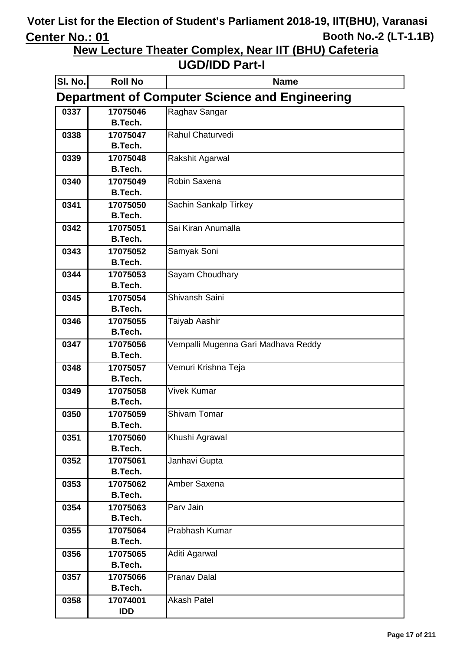**New Lecture Theater Complex, Near IIT (BHU) Cafeteria**

| SI. No.                                               | <b>Roll No</b>      | <b>Name</b>                         |  |  |
|-------------------------------------------------------|---------------------|-------------------------------------|--|--|
| <b>Department of Computer Science and Engineering</b> |                     |                                     |  |  |
| 0337                                                  | 17075046            | Raghav Sangar                       |  |  |
|                                                       | <b>B.Tech.</b>      |                                     |  |  |
| 0338                                                  | 17075047            | Rahul Chaturvedi                    |  |  |
|                                                       | <b>B.Tech.</b>      |                                     |  |  |
| 0339                                                  | 17075048            | Rakshit Agarwal                     |  |  |
|                                                       | B.Tech.             |                                     |  |  |
| 0340                                                  | 17075049            | Robin Saxena                        |  |  |
|                                                       | B.Tech.             |                                     |  |  |
| 0341                                                  | 17075050            | Sachin Sankalp Tirkey               |  |  |
|                                                       | B.Tech.             |                                     |  |  |
| 0342                                                  | 17075051            | Sai Kiran Anumalla                  |  |  |
|                                                       | B.Tech.             |                                     |  |  |
| 0343                                                  | 17075052            | Samyak Soni                         |  |  |
|                                                       | B.Tech.             |                                     |  |  |
| 0344                                                  | 17075053            | Sayam Choudhary                     |  |  |
|                                                       | B.Tech.             |                                     |  |  |
| 0345                                                  | 17075054            | Shivansh Saini                      |  |  |
|                                                       | B.Tech.             |                                     |  |  |
| 0346                                                  | 17075055            | Taiyab Aashir                       |  |  |
|                                                       | B.Tech.             |                                     |  |  |
| 0347                                                  | 17075056<br>B.Tech. | Vempalli Mugenna Gari Madhava Reddy |  |  |
|                                                       |                     |                                     |  |  |
| 0348                                                  | 17075057<br>B.Tech. | Vemuri Krishna Teja                 |  |  |
| 0349                                                  | 17075058            | <b>Vivek Kumar</b>                  |  |  |
|                                                       | <b>B.Tech.</b>      |                                     |  |  |
| 0350                                                  | 17075059            | <b>Shivam Tomar</b>                 |  |  |
|                                                       | B.Tech.             |                                     |  |  |
| 0351                                                  | 17075060            | Khushi Agrawal                      |  |  |
|                                                       | B.Tech.             |                                     |  |  |
| 0352                                                  | 17075061            | Janhavi Gupta                       |  |  |
|                                                       | <b>B.Tech.</b>      |                                     |  |  |
| 0353                                                  | 17075062            | Amber Saxena                        |  |  |
|                                                       | <b>B.Tech.</b>      |                                     |  |  |
| 0354                                                  | 17075063            | Parv Jain                           |  |  |
|                                                       | B.Tech.             |                                     |  |  |
| 0355                                                  | 17075064            | Prabhash Kumar                      |  |  |
|                                                       | B.Tech.             |                                     |  |  |
| 0356                                                  | 17075065            | Aditi Agarwal                       |  |  |
|                                                       | B.Tech.             |                                     |  |  |
| 0357                                                  | 17075066            | <b>Pranav Dalal</b>                 |  |  |
|                                                       | B.Tech.             |                                     |  |  |
| 0358                                                  | 17074001            | <b>Akash Patel</b>                  |  |  |
|                                                       | <b>IDD</b>          |                                     |  |  |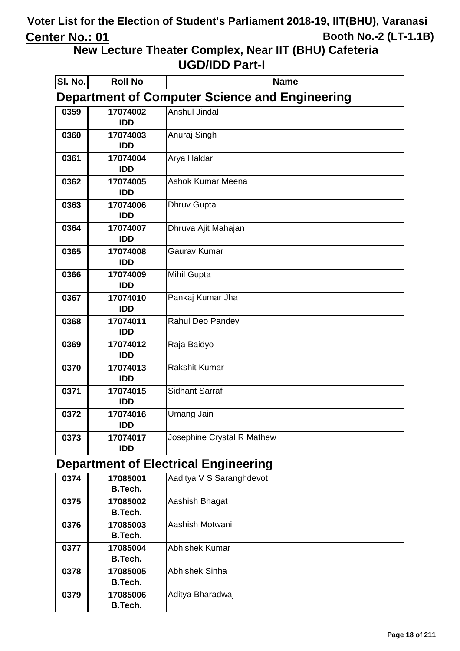**New Lecture Theater Complex, Near IIT (BHU) Cafeteria**

#### **UGD/IDD Part-I**

| SI. No. | <b>Roll No</b>                                        | <b>Name</b>                |  |
|---------|-------------------------------------------------------|----------------------------|--|
|         | <b>Department of Computer Science and Engineering</b> |                            |  |
| 0359    | 17074002<br><b>IDD</b>                                | <b>Anshul Jindal</b>       |  |
| 0360    | 17074003<br><b>IDD</b>                                | Anuraj Singh               |  |
| 0361    | 17074004<br><b>IDD</b>                                | Arya Haldar                |  |
| 0362    | 17074005<br><b>IDD</b>                                | Ashok Kumar Meena          |  |
| 0363    | 17074006<br><b>IDD</b>                                | <b>Dhruv Gupta</b>         |  |
| 0364    | 17074007<br><b>IDD</b>                                | Dhruva Ajit Mahajan        |  |
| 0365    | 17074008<br><b>IDD</b>                                | Gaurav Kumar               |  |
| 0366    | 17074009<br><b>IDD</b>                                | Mihil Gupta                |  |
| 0367    | 17074010<br><b>IDD</b>                                | Pankaj Kumar Jha           |  |
| 0368    | 17074011<br><b>IDD</b>                                | Rahul Deo Pandey           |  |
| 0369    | 17074012<br><b>IDD</b>                                | Raja Baidyo                |  |
| 0370    | 17074013<br><b>IDD</b>                                | <b>Rakshit Kumar</b>       |  |
| 0371    | 17074015<br><b>IDD</b>                                | <b>Sidhant Sarraf</b>      |  |
| 0372    | 17074016<br><b>IDD</b>                                | Umang Jain                 |  |
| 0373    | 17074017<br><b>IDD</b>                                | Josephine Crystal R Mathew |  |

### **Department of Electrical Engineering**

| 0374 | 17085001       | Aaditya V S Saranghdevot |
|------|----------------|--------------------------|
|      | B.Tech.        |                          |
| 0375 | 17085002       | Aashish Bhagat           |
|      | B.Tech.        |                          |
| 0376 | 17085003       | Aashish Motwani          |
|      | B.Tech.        |                          |
| 0377 | 17085004       | <b>Abhishek Kumar</b>    |
|      | B.Tech.        |                          |
| 0378 | 17085005       | <b>Abhishek Sinha</b>    |
|      | B.Tech.        |                          |
| 0379 | 17085006       | Aditya Bharadwaj         |
|      | <b>B.Tech.</b> |                          |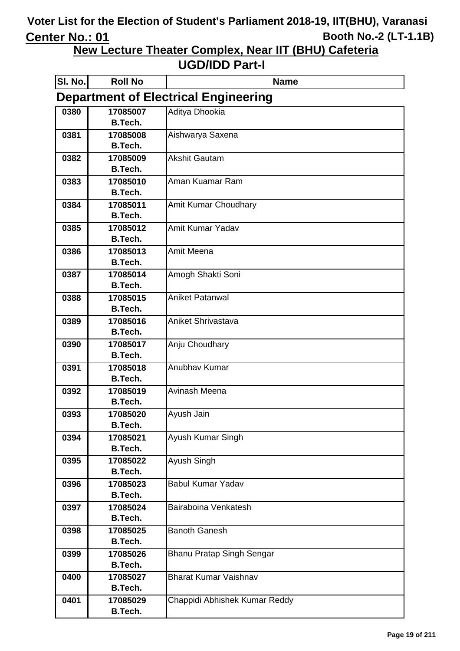**New Lecture Theater Complex, Near IIT (BHU) Cafeteria**

| SI. No.                                     | <b>Roll No</b>             | <b>Name</b>                   |  |
|---------------------------------------------|----------------------------|-------------------------------|--|
| <b>Department of Electrical Engineering</b> |                            |                               |  |
| 0380                                        | 17085007                   | Aditya Dhookia                |  |
|                                             | <b>B.Tech.</b>             |                               |  |
| 0381                                        | 17085008                   | Aishwarya Saxena              |  |
|                                             | <b>B.Tech.</b>             |                               |  |
| 0382                                        | 17085009                   | <b>Akshit Gautam</b>          |  |
|                                             | B.Tech.                    |                               |  |
| 0383                                        | 17085010                   | Aman Kuamar Ram               |  |
|                                             | <b>B.Tech.</b>             |                               |  |
| 0384                                        | 17085011<br>B.Tech.        | Amit Kumar Choudhary          |  |
| 0385                                        | 17085012                   | Amit Kumar Yadav              |  |
|                                             | B.Tech.                    |                               |  |
| 0386                                        | 17085013                   | Amit Meena                    |  |
|                                             | <b>B.Tech.</b>             |                               |  |
| 0387                                        | 17085014                   | Amogh Shakti Soni             |  |
|                                             | <b>B.Tech.</b>             |                               |  |
| 0388                                        | 17085015                   | <b>Aniket Patanwal</b>        |  |
|                                             | <b>B.Tech.</b>             |                               |  |
| 0389                                        | 17085016                   | <b>Aniket Shrivastava</b>     |  |
|                                             | <b>B.Tech.</b>             |                               |  |
| 0390                                        | 17085017                   | Anju Choudhary                |  |
|                                             | <b>B.Tech.</b>             |                               |  |
| 0391                                        | 17085018                   | Anubhav Kumar                 |  |
|                                             | <b>B.Tech.</b>             |                               |  |
| 0392                                        | 17085019                   | Avinash Meena                 |  |
|                                             | <b>B.Tech.</b>             |                               |  |
| 0393                                        | 17085020                   | Ayush Jain                    |  |
|                                             | B.Tech.                    |                               |  |
| 0394                                        | 17085021<br><b>B.Tech.</b> | Ayush Kumar Singh             |  |
| 0395                                        | 17085022                   | Ayush Singh                   |  |
|                                             | <b>B.Tech.</b>             |                               |  |
| 0396                                        | 17085023                   | <b>Babul Kumar Yadav</b>      |  |
|                                             | <b>B.Tech.</b>             |                               |  |
| 0397                                        | 17085024                   | Bairaboina Venkatesh          |  |
|                                             | <b>B.Tech.</b>             |                               |  |
| 0398                                        | 17085025                   | <b>Banoth Ganesh</b>          |  |
|                                             | <b>B.Tech.</b>             |                               |  |
| 0399                                        | 17085026                   | Bhanu Pratap Singh Sengar     |  |
|                                             | <b>B.Tech.</b>             |                               |  |
| 0400                                        | 17085027                   | <b>Bharat Kumar Vaishnav</b>  |  |
|                                             | <b>B.Tech.</b>             |                               |  |
| 0401                                        | 17085029                   | Chappidi Abhishek Kumar Reddy |  |
|                                             | <b>B.Tech.</b>             |                               |  |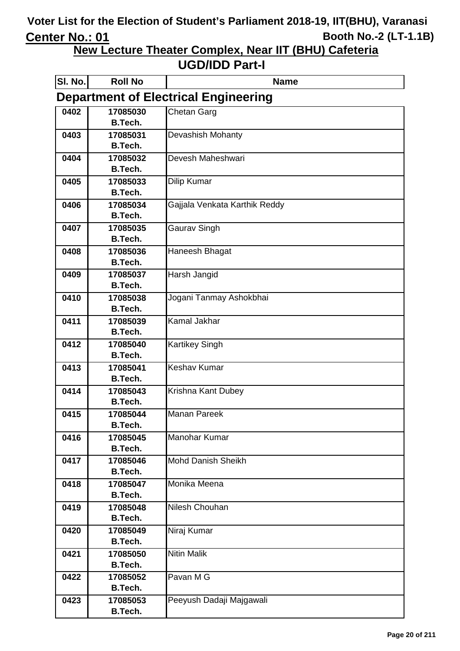**New Lecture Theater Complex, Near IIT (BHU) Cafeteria**

| SI. No.                                     | <b>Roll No</b>             | <b>Name</b>                   |  |
|---------------------------------------------|----------------------------|-------------------------------|--|
| <b>Department of Electrical Engineering</b> |                            |                               |  |
| 0402                                        | 17085030                   | Chetan Garg                   |  |
|                                             | <b>B.Tech.</b>             |                               |  |
| 0403                                        | 17085031                   | Devashish Mohanty             |  |
|                                             | <b>B.Tech.</b>             |                               |  |
| 0404                                        | 17085032                   | Devesh Maheshwari             |  |
|                                             | <b>B.Tech.</b>             |                               |  |
| 0405                                        | 17085033                   | Dilip Kumar                   |  |
|                                             | <b>B.Tech.</b>             |                               |  |
| 0406                                        | 17085034                   | Gajjala Venkata Karthik Reddy |  |
|                                             | <b>B.Tech.</b>             |                               |  |
| 0407                                        | 17085035<br><b>B.Tech.</b> | Gaurav Singh                  |  |
| 0408                                        | 17085036                   | Haneesh Bhagat                |  |
|                                             | B.Tech.                    |                               |  |
| 0409                                        | 17085037                   | Harsh Jangid                  |  |
|                                             | <b>B.Tech.</b>             |                               |  |
| 0410                                        | 17085038                   | Jogani Tanmay Ashokbhai       |  |
|                                             | <b>B.Tech.</b>             |                               |  |
| 0411                                        | 17085039                   | <b>Kamal Jakhar</b>           |  |
|                                             | <b>B.Tech.</b>             |                               |  |
| 0412                                        | 17085040                   | <b>Kartikey Singh</b>         |  |
|                                             | <b>B.Tech.</b>             |                               |  |
| 0413                                        | 17085041                   | <b>Keshav Kumar</b>           |  |
|                                             | <b>B.Tech.</b>             |                               |  |
| 0414                                        | 17085043                   | Krishna Kant Dubey            |  |
|                                             | <b>B.Tech.</b>             |                               |  |
| 0415                                        | 17085044                   | <b>Manan Pareek</b>           |  |
|                                             | <b>B.Tech.</b>             | Manohar Kumar                 |  |
| 0416                                        | 17085045<br><b>B.Tech.</b> |                               |  |
| 0417                                        | 17085046                   | Mohd Danish Sheikh            |  |
|                                             | <b>B.Tech.</b>             |                               |  |
| 0418                                        | 17085047                   | Monika Meena                  |  |
|                                             | <b>B.Tech.</b>             |                               |  |
| 0419                                        | 17085048                   | Nilesh Chouhan                |  |
|                                             | <b>B.Tech.</b>             |                               |  |
| 0420                                        | 17085049                   | Niraj Kumar                   |  |
|                                             | <b>B.Tech.</b>             |                               |  |
| 0421                                        | 17085050                   | <b>Nitin Malik</b>            |  |
|                                             | <b>B.Tech.</b>             |                               |  |
| 0422                                        | 17085052                   | Pavan MG                      |  |
|                                             | <b>B.Tech.</b>             |                               |  |
| 0423                                        | 17085053                   | Peeyush Dadaji Majgawali      |  |
|                                             | B.Tech.                    |                               |  |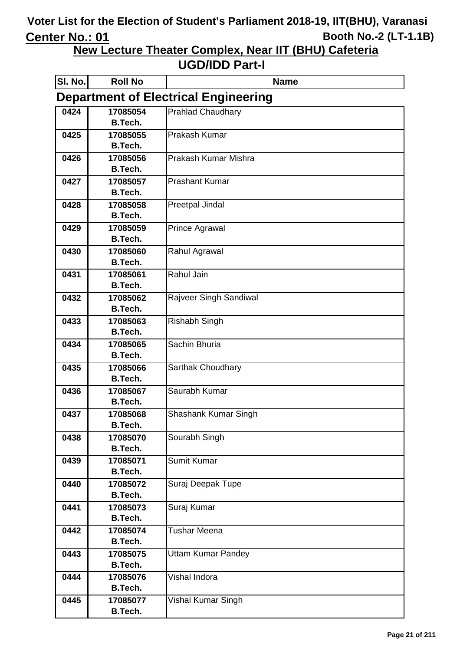**New Lecture Theater Complex, Near IIT (BHU) Cafeteria**

| SI. No.                                     | <b>Roll No</b>             | <b>Name</b>               |  |
|---------------------------------------------|----------------------------|---------------------------|--|
| <b>Department of Electrical Engineering</b> |                            |                           |  |
| 0424                                        | 17085054                   | <b>Prahlad Chaudhary</b>  |  |
|                                             | <b>B.Tech.</b>             |                           |  |
| 0425                                        | 17085055                   | Prakash Kumar             |  |
|                                             | <b>B.Tech.</b>             |                           |  |
| 0426                                        | 17085056                   | Prakash Kumar Mishra      |  |
|                                             | <b>B.Tech.</b>             |                           |  |
| 0427                                        | 17085057                   | <b>Prashant Kumar</b>     |  |
|                                             | <b>B.Tech.</b>             |                           |  |
| 0428                                        | 17085058                   | Preetpal Jindal           |  |
|                                             | <b>B.Tech.</b>             |                           |  |
| 0429                                        | 17085059<br>B.Tech.        | <b>Prince Agrawal</b>     |  |
| 0430                                        | 17085060                   | Rahul Agrawal             |  |
|                                             | <b>B.Tech.</b>             |                           |  |
| 0431                                        | 17085061                   | Rahul Jain                |  |
|                                             | B.Tech.                    |                           |  |
| 0432                                        | 17085062                   | Rajveer Singh Sandiwal    |  |
|                                             | B.Tech.                    |                           |  |
| 0433                                        | 17085063                   | Rishabh Singh             |  |
|                                             | B.Tech.                    |                           |  |
| 0434                                        | 17085065                   | Sachin Bhuria             |  |
|                                             | B.Tech.                    |                           |  |
| 0435                                        | 17085066                   | Sarthak Choudhary         |  |
|                                             | <b>B.Tech.</b>             |                           |  |
| 0436                                        | 17085067                   | Saurabh Kumar             |  |
|                                             | <b>B.Tech.</b>             |                           |  |
| 0437                                        | 17085068<br>B.Tech.        | Shashank Kumar Singh      |  |
| 0438                                        | 17085070                   | Sourabh Singh             |  |
|                                             | <b>B.Tech.</b>             |                           |  |
| 0439                                        | 17085071                   | <b>Sumit Kumar</b>        |  |
|                                             | <b>B.Tech.</b>             |                           |  |
| 0440                                        | 17085072                   | Suraj Deepak Tupe         |  |
|                                             | <b>B.Tech.</b>             |                           |  |
| 0441                                        | 17085073                   | Suraj Kumar               |  |
|                                             | <b>B.Tech.</b>             |                           |  |
| 0442                                        | 17085074                   | <b>Tushar Meena</b>       |  |
|                                             | <b>B.Tech.</b>             |                           |  |
| 0443                                        | 17085075                   | <b>Uttam Kumar Pandey</b> |  |
|                                             | <b>B.Tech.</b>             |                           |  |
| 0444                                        | 17085076                   | Vishal Indora             |  |
| 0445                                        | <b>B.Tech.</b><br>17085077 |                           |  |
|                                             | <b>B.Tech.</b>             | Vishal Kumar Singh        |  |
|                                             |                            |                           |  |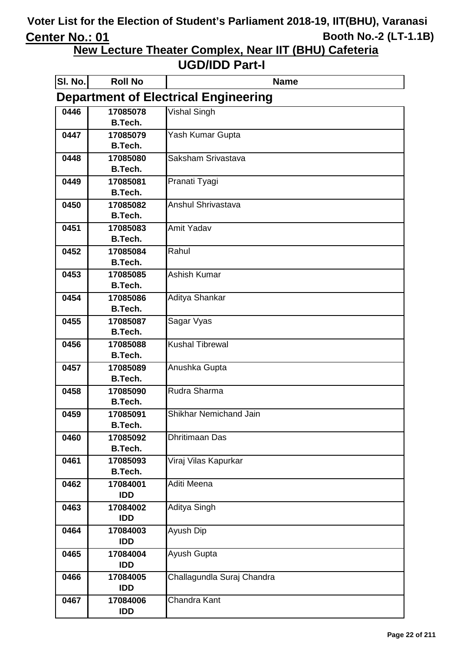**New Lecture Theater Complex, Near IIT (BHU) Cafeteria**

| SI. No.                                     | <b>Roll No</b>             | <b>Name</b>                |  |
|---------------------------------------------|----------------------------|----------------------------|--|
| <b>Department of Electrical Engineering</b> |                            |                            |  |
| 0446                                        | 17085078                   | <b>Vishal Singh</b>        |  |
|                                             | <b>B.Tech.</b>             |                            |  |
| 0447                                        | 17085079                   | Yash Kumar Gupta           |  |
|                                             | <b>B.Tech.</b>             |                            |  |
| 0448                                        | 17085080                   | Saksham Srivastava         |  |
|                                             | <b>B.Tech.</b>             |                            |  |
| 0449                                        | 17085081                   | Pranati Tyagi              |  |
|                                             | <b>B.Tech.</b>             |                            |  |
| 0450                                        | 17085082                   | Anshul Shrivastava         |  |
|                                             | <b>B.Tech.</b>             |                            |  |
| 0451                                        | 17085083                   | <b>Amit Yadav</b>          |  |
|                                             | <b>B.Tech.</b>             |                            |  |
| 0452                                        | 17085084<br><b>B.Tech.</b> | Rahul                      |  |
| 0453                                        | 17085085                   | <b>Ashish Kumar</b>        |  |
|                                             | <b>B.Tech.</b>             |                            |  |
| 0454                                        | 17085086                   | Aditya Shankar             |  |
|                                             | <b>B.Tech.</b>             |                            |  |
| 0455                                        | 17085087                   | Sagar Vyas                 |  |
|                                             | <b>B.Tech.</b>             |                            |  |
| 0456                                        | 17085088                   | <b>Kushal Tibrewal</b>     |  |
|                                             | <b>B.Tech.</b>             |                            |  |
| 0457                                        | 17085089                   | Anushka Gupta              |  |
|                                             | <b>B.Tech.</b>             |                            |  |
| 0458                                        | 17085090                   | Rudra Sharma               |  |
|                                             | <b>B.Tech.</b>             |                            |  |
| 0459                                        | 17085091                   | Shikhar Nemichand Jain     |  |
|                                             | B.Tech.                    |                            |  |
| 0460                                        | 17085092                   | Dhritimaan Das             |  |
|                                             | <b>B.Tech.</b>             |                            |  |
| 0461                                        | 17085093                   | Viraj Vilas Kapurkar       |  |
|                                             | <b>B.Tech.</b>             |                            |  |
| 0462                                        | 17084001                   | Aditi Meena                |  |
|                                             | <b>IDD</b>                 |                            |  |
| 0463                                        | 17084002                   | Aditya Singh               |  |
|                                             | <b>IDD</b>                 |                            |  |
| 0464                                        | 17084003<br><b>IDD</b>     | Ayush Dip                  |  |
| 0465                                        | 17084004                   | Ayush Gupta                |  |
|                                             | <b>IDD</b>                 |                            |  |
| 0466                                        | 17084005                   | Challagundla Suraj Chandra |  |
|                                             | <b>IDD</b>                 |                            |  |
| 0467                                        | 17084006                   | Chandra Kant               |  |
|                                             | <b>IDD</b>                 |                            |  |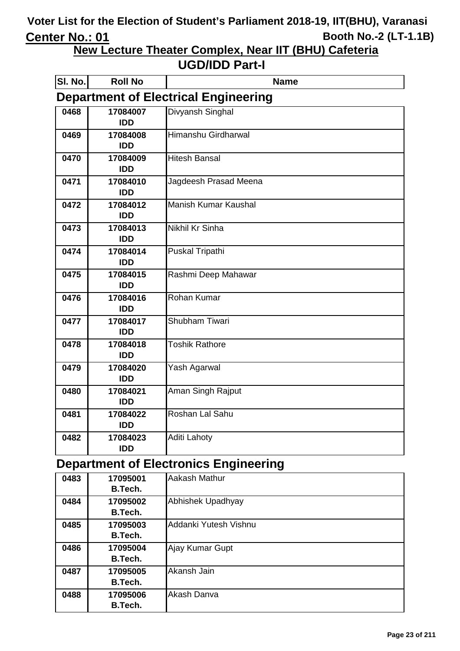**New Lecture Theater Complex, Near IIT (BHU) Cafeteria**

#### **UGD/IDD Part-I**

| SI. No. | <b>Roll No</b> | <b>Name</b>                                 |
|---------|----------------|---------------------------------------------|
|         |                | <b>Department of Electrical Engineering</b> |
| 0468    | 17084007       | Divyansh Singhal                            |
|         | <b>IDD</b>     |                                             |
| 0469    | 17084008       | Himanshu Girdharwal                         |
|         | <b>IDD</b>     |                                             |
| 0470    | 17084009       | <b>Hitesh Bansal</b>                        |
|         | <b>IDD</b>     |                                             |
| 0471    | 17084010       | Jagdeesh Prasad Meena                       |
|         | <b>IDD</b>     |                                             |
| 0472    | 17084012       | <b>Manish Kumar Kaushal</b>                 |
|         | <b>IDD</b>     |                                             |
| 0473    | 17084013       | Nikhil Kr Sinha                             |
|         | <b>IDD</b>     |                                             |
| 0474    | 17084014       | Puskal Tripathi                             |
|         | <b>IDD</b>     |                                             |
| 0475    | 17084015       | Rashmi Deep Mahawar                         |
|         | <b>IDD</b>     |                                             |
| 0476    | 17084016       | Rohan Kumar                                 |
|         | <b>IDD</b>     |                                             |
| 0477    | 17084017       | Shubham Tiwari                              |
|         | <b>IDD</b>     |                                             |
| 0478    | 17084018       | <b>Toshik Rathore</b>                       |
|         | <b>IDD</b>     |                                             |
| 0479    | 17084020       | Yash Agarwal                                |
|         | <b>IDD</b>     |                                             |
| 0480    | 17084021       | Aman Singh Rajput                           |
|         | <b>IDD</b>     |                                             |
| 0481    | 17084022       | Roshan Lal Sahu                             |
|         | <b>IDD</b>     |                                             |
| 0482    | 17084023       | <b>Aditi Lahoty</b>                         |
|         | <b>IDD</b>     |                                             |

### **Department of Electronics Engineering**

| 0483 | 17095001       | Aakash Mathur         |
|------|----------------|-----------------------|
|      | B.Tech.        |                       |
| 0484 | 17095002       | Abhishek Upadhyay     |
|      | B.Tech.        |                       |
| 0485 | 17095003       | Addanki Yutesh Vishnu |
|      | B.Tech.        |                       |
| 0486 | 17095004       | Ajay Kumar Gupt       |
|      | B.Tech.        |                       |
| 0487 | 17095005       | Akansh Jain           |
|      | B.Tech.        |                       |
| 0488 | 17095006       | Akash Danva           |
|      | <b>B.Tech.</b> |                       |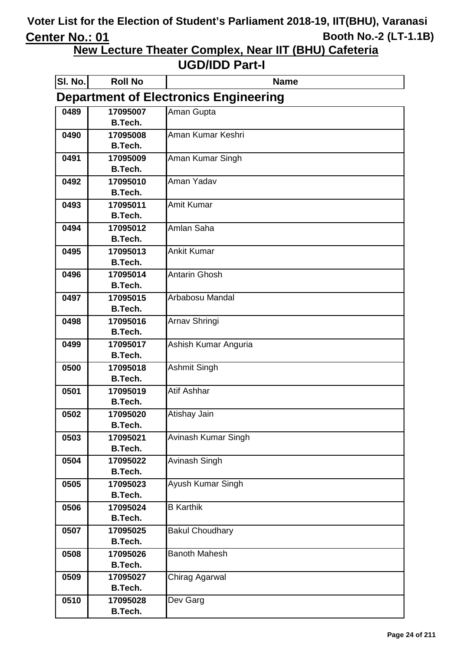**New Lecture Theater Complex, Near IIT (BHU) Cafeteria**

| SI. No. | <b>Roll No</b>             | <b>Name</b>                                  |
|---------|----------------------------|----------------------------------------------|
|         |                            | <b>Department of Electronics Engineering</b> |
| 0489    | 17095007                   | Aman Gupta                                   |
|         | <b>B.Tech.</b>             |                                              |
| 0490    | 17095008                   | Aman Kumar Keshri                            |
|         | <b>B.Tech.</b>             |                                              |
| 0491    | 17095009                   | Aman Kumar Singh                             |
|         | <b>B.Tech.</b>             |                                              |
| 0492    | 17095010                   | Aman Yadav                                   |
|         | <b>B.Tech.</b>             |                                              |
| 0493    | 17095011                   | <b>Amit Kumar</b>                            |
|         | <b>B.Tech.</b>             |                                              |
| 0494    | 17095012                   | Amlan Saha                                   |
|         | <b>B.Tech.</b>             |                                              |
| 0495    | 17095013<br><b>B.Tech.</b> | <b>Ankit Kumar</b>                           |
|         |                            | <b>Antarin Ghosh</b>                         |
| 0496    | 17095014<br><b>B.Tech.</b> |                                              |
| 0497    | 17095015                   | Arbabosu Mandal                              |
|         | <b>B.Tech.</b>             |                                              |
| 0498    | 17095016                   | Arnav Shringi                                |
|         | <b>B.Tech.</b>             |                                              |
| 0499    | 17095017                   | Ashish Kumar Anguria                         |
|         | <b>B.Tech.</b>             |                                              |
| 0500    | 17095018                   | Ashmit Singh                                 |
|         | <b>B.Tech.</b>             |                                              |
| 0501    | 17095019                   | <b>Atif Ashhar</b>                           |
|         | <b>B.Tech.</b>             |                                              |
| 0502    | 17095020                   | Atishay Jain                                 |
|         | <b>B.Tech.</b>             |                                              |
| 0503    | 17095021                   | Avinash Kumar Singh                          |
|         | <b>B.Tech.</b>             |                                              |
| 0504    | 17095022                   | Avinash Singh                                |
|         | <b>B.Tech.</b>             |                                              |
| 0505    | 17095023                   | Ayush Kumar Singh                            |
|         | <b>B.Tech.</b>             |                                              |
| 0506    | 17095024                   | <b>B</b> Karthik                             |
|         | <b>B.Tech.</b>             |                                              |
| 0507    | 17095025                   | <b>Bakul Choudhary</b>                       |
|         | <b>B.Tech.</b>             |                                              |
| 0508    | 17095026                   | <b>Banoth Mahesh</b>                         |
|         | <b>B.Tech.</b>             |                                              |
| 0509    | 17095027                   | Chirag Agarwal                               |
|         | <b>B.Tech.</b>             |                                              |
| 0510    | 17095028                   | Dev Garg                                     |
|         | <b>B.Tech.</b>             |                                              |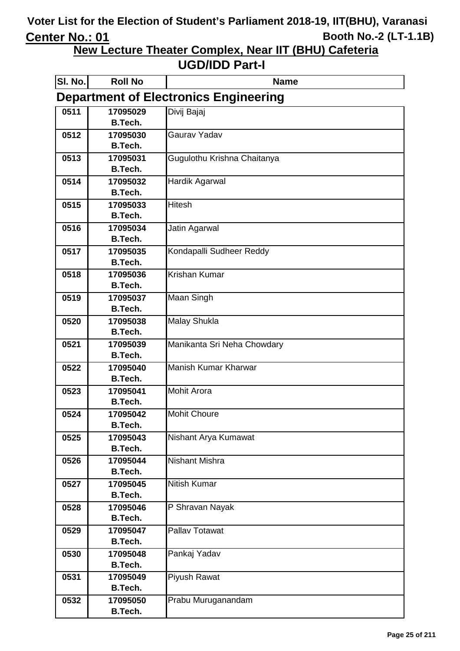**New Lecture Theater Complex, Near IIT (BHU) Cafeteria**

| SI. No. | <b>Roll No</b>                               | <b>Name</b>                 |  |  |
|---------|----------------------------------------------|-----------------------------|--|--|
|         | <b>Department of Electronics Engineering</b> |                             |  |  |
| 0511    | 17095029                                     | Divij Bajaj                 |  |  |
|         | <b>B.Tech.</b>                               |                             |  |  |
| 0512    | 17095030                                     | Gaurav Yadav                |  |  |
|         | <b>B.Tech.</b>                               |                             |  |  |
| 0513    | 17095031                                     | Gugulothu Krishna Chaitanya |  |  |
|         | <b>B.Tech.</b>                               |                             |  |  |
| 0514    | 17095032                                     | Hardik Agarwal              |  |  |
|         | <b>B.Tech.</b>                               |                             |  |  |
| 0515    | 17095033                                     | <b>Hitesh</b>               |  |  |
|         | <b>B.Tech.</b>                               |                             |  |  |
| 0516    | 17095034                                     | Jatin Agarwal               |  |  |
|         | <b>B.Tech.</b>                               |                             |  |  |
| 0517    | 17095035<br><b>B.Tech.</b>                   | Kondapalli Sudheer Reddy    |  |  |
| 0518    | 17095036                                     | Krishan Kumar               |  |  |
|         | <b>B.Tech.</b>                               |                             |  |  |
| 0519    | 17095037                                     | Maan Singh                  |  |  |
|         | <b>B.Tech.</b>                               |                             |  |  |
| 0520    | 17095038                                     | Malay Shukla                |  |  |
|         | B.Tech.                                      |                             |  |  |
| 0521    | 17095039                                     | Manikanta Sri Neha Chowdary |  |  |
|         | <b>B.Tech.</b>                               |                             |  |  |
| 0522    | 17095040                                     | Manish Kumar Kharwar        |  |  |
|         | <b>B.Tech.</b>                               |                             |  |  |
| 0523    | 17095041                                     | <b>Mohit Arora</b>          |  |  |
|         | <b>B.Tech.</b>                               |                             |  |  |
| 0524    | 17095042                                     | <b>Mohit Choure</b>         |  |  |
|         | B.Tech.                                      |                             |  |  |
| 0525    | 17095043                                     | Nishant Arya Kumawat        |  |  |
|         | <b>B.Tech.</b>                               |                             |  |  |
| 0526    | 17095044                                     | <b>Nishant Mishra</b>       |  |  |
|         | <b>B.Tech.</b>                               |                             |  |  |
| 0527    | 17095045<br><b>B.Tech.</b>                   | <b>Nitish Kumar</b>         |  |  |
| 0528    | 17095046                                     | P Shravan Nayak             |  |  |
|         | <b>B.Tech.</b>                               |                             |  |  |
| 0529    | 17095047                                     | Pallav Totawat              |  |  |
|         | <b>B.Tech.</b>                               |                             |  |  |
| 0530    | 17095048                                     | Pankaj Yadav                |  |  |
|         | <b>B.Tech.</b>                               |                             |  |  |
| 0531    | 17095049                                     | Piyush Rawat                |  |  |
|         | <b>B.Tech.</b>                               |                             |  |  |
| 0532    | 17095050                                     | Prabu Muruganandam          |  |  |
|         | <b>B.Tech.</b>                               |                             |  |  |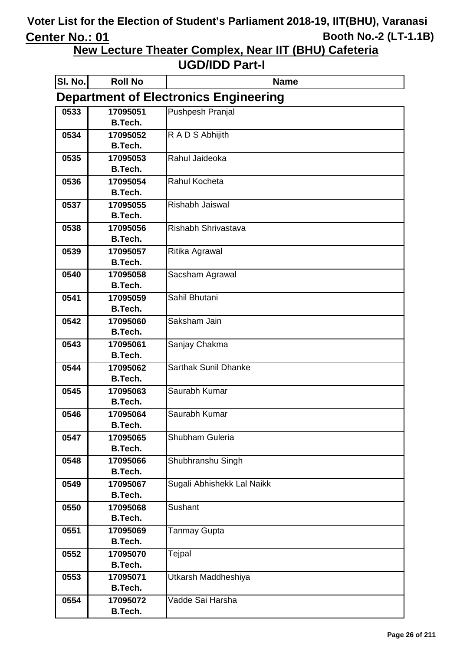**New Lecture Theater Complex, Near IIT (BHU) Cafeteria**

| SI. No. | <b>Roll No</b>                               | <b>Name</b>                 |  |  |
|---------|----------------------------------------------|-----------------------------|--|--|
|         | <b>Department of Electronics Engineering</b> |                             |  |  |
| 0533    | 17095051                                     | <b>Pushpesh Pranjal</b>     |  |  |
|         | <b>B.Tech.</b>                               |                             |  |  |
| 0534    | 17095052                                     | R A D S Abhijith            |  |  |
|         | <b>B.Tech.</b>                               |                             |  |  |
| 0535    | 17095053                                     | Rahul Jaideoka              |  |  |
|         | <b>B.Tech.</b>                               |                             |  |  |
| 0536    | 17095054<br><b>B.Tech.</b>                   | Rahul Kocheta               |  |  |
| 0537    | 17095055                                     | Rishabh Jaiswal             |  |  |
|         | <b>B.Tech.</b>                               |                             |  |  |
| 0538    | 17095056                                     | Rishabh Shrivastava         |  |  |
|         | <b>B.Tech.</b>                               |                             |  |  |
| 0539    | 17095057                                     | Ritika Agrawal              |  |  |
|         | <b>B.Tech.</b>                               |                             |  |  |
| 0540    | 17095058                                     | Sacsham Agrawal             |  |  |
|         | B.Tech.                                      |                             |  |  |
| 0541    | 17095059                                     | Sahil Bhutani               |  |  |
|         | <b>B.Tech.</b>                               |                             |  |  |
| 0542    | 17095060                                     | Saksham Jain                |  |  |
|         | B.Tech.                                      |                             |  |  |
| 0543    | 17095061                                     | Sanjay Chakma               |  |  |
|         | <b>B.Tech.</b>                               |                             |  |  |
| 0544    | 17095062<br><b>B.Tech.</b>                   | <b>Sarthak Sunil Dhanke</b> |  |  |
| 0545    | 17095063                                     | Saurabh Kumar               |  |  |
|         | B.Tech.                                      |                             |  |  |
| 0546    | 17095064                                     | Saurabh Kumar               |  |  |
|         | B.Tech.                                      |                             |  |  |
| 0547    | 17095065                                     | Shubham Guleria             |  |  |
|         | <b>B.Tech.</b>                               |                             |  |  |
| 0548    | 17095066                                     | Shubhranshu Singh           |  |  |
|         | <b>B.Tech.</b>                               |                             |  |  |
| 0549    | 17095067                                     | Sugali Abhishekk Lal Naikk  |  |  |
|         | <b>B.Tech.</b>                               |                             |  |  |
| 0550    | 17095068                                     | Sushant                     |  |  |
|         | <b>B.Tech.</b>                               |                             |  |  |
| 0551    | 17095069                                     | <b>Tanmay Gupta</b>         |  |  |
|         | <b>B.Tech.</b>                               |                             |  |  |
| 0552    | 17095070                                     | Tejpal                      |  |  |
|         | <b>B.Tech.</b>                               |                             |  |  |
| 0553    | 17095071<br><b>B.Tech.</b>                   | Utkarsh Maddheshiya         |  |  |
| 0554    | 17095072                                     | Vadde Sai Harsha            |  |  |
|         | <b>B.Tech.</b>                               |                             |  |  |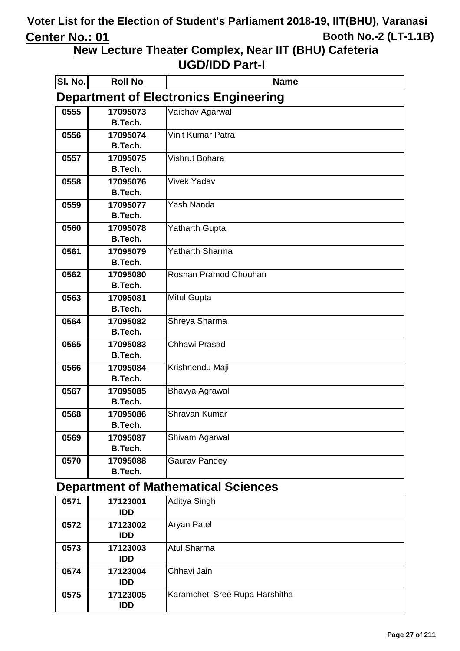**New Lecture Theater Complex, Near IIT (BHU) Cafeteria**

#### **UGD/IDD Part-I**

| SI. No. | <b>Roll No</b> | <b>Name</b>                                  |
|---------|----------------|----------------------------------------------|
|         |                | <b>Department of Electronics Engineering</b> |
| 0555    | 17095073       | Vaibhav Agarwal                              |
|         | <b>B.Tech.</b> |                                              |
| 0556    | 17095074       | <b>Vinit Kumar Patra</b>                     |
|         | <b>B.Tech.</b> |                                              |
| 0557    | 17095075       | Vishrut Bohara                               |
|         | <b>B.Tech.</b> |                                              |
| 0558    | 17095076       | <b>Vivek Yadav</b>                           |
|         | <b>B.Tech.</b> |                                              |
| 0559    | 17095077       | Yash Nanda                                   |
|         | <b>B.Tech.</b> |                                              |
| 0560    | 17095078       | <b>Yatharth Gupta</b>                        |
|         | <b>B.Tech.</b> |                                              |
| 0561    | 17095079       | Yatharth Sharma                              |
|         | <b>B.Tech.</b> |                                              |
| 0562    | 17095080       | Roshan Pramod Chouhan                        |
|         | <b>B.Tech.</b> |                                              |
| 0563    | 17095081       | <b>Mitul Gupta</b>                           |
|         | <b>B.Tech.</b> |                                              |
| 0564    | 17095082       | Shreya Sharma                                |
|         | <b>B.Tech.</b> |                                              |
| 0565    | 17095083       | Chhawi Prasad                                |
|         | <b>B.Tech.</b> |                                              |
| 0566    | 17095084       | Krishnendu Maji                              |
|         | <b>B.Tech.</b> |                                              |
| 0567    | 17095085       | Bhavya Agrawal                               |
|         | B.Tech.        |                                              |
| 0568    | 17095086       | Shravan Kumar                                |
|         | <b>B.Tech.</b> |                                              |
| 0569    | 17095087       | Shivam Agarwal                               |
|         | B.Tech.        |                                              |
| 0570    | 17095088       | <b>Gaurav Pandey</b>                         |
|         | <b>B.Tech.</b> |                                              |

#### **Department of Mathematical Sciences**

| 0571 | 17123001<br><b>IDD</b> | Aditya Singh                   |
|------|------------------------|--------------------------------|
| 0572 | 17123002<br><b>IDD</b> | <b>Aryan Patel</b>             |
| 0573 | 17123003<br><b>IDD</b> | <b>Atul Sharma</b>             |
| 0574 | 17123004<br><b>IDD</b> | Chhavi Jain                    |
| 0575 | 17123005<br><b>IDD</b> | Karamcheti Sree Rupa Harshitha |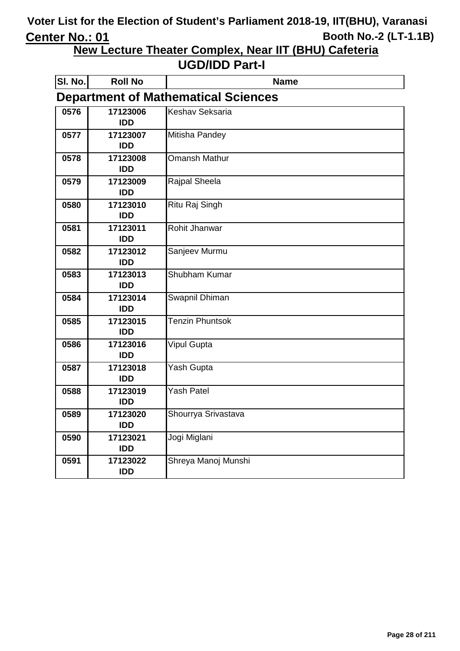**New Lecture Theater Complex, Near IIT (BHU) Cafeteria**

| SI. No. | <b>Roll No</b>         | <b>Name</b>                                |
|---------|------------------------|--------------------------------------------|
|         |                        | <b>Department of Mathematical Sciences</b> |
| 0576    | 17123006<br><b>IDD</b> | <b>Keshav Seksaria</b>                     |
| 0577    | 17123007<br><b>IDD</b> | Mitisha Pandey                             |
| 0578    | 17123008<br><b>IDD</b> | Omansh Mathur                              |
| 0579    | 17123009<br><b>IDD</b> | Rajpal Sheela                              |
| 0580    | 17123010<br><b>IDD</b> | <b>Ritu Raj Singh</b>                      |
| 0581    | 17123011<br><b>IDD</b> | Rohit Jhanwar                              |
| 0582    | 17123012<br><b>IDD</b> | Sanjeev Murmu                              |
| 0583    | 17123013<br><b>IDD</b> | Shubham Kumar                              |
| 0584    | 17123014<br><b>IDD</b> | <b>Swapnil Dhiman</b>                      |
| 0585    | 17123015<br><b>IDD</b> | <b>Tenzin Phuntsok</b>                     |
| 0586    | 17123016<br><b>IDD</b> | Vipul Gupta                                |
| 0587    | 17123018<br><b>IDD</b> | Yash Gupta                                 |
| 0588    | 17123019<br><b>IDD</b> | Yash Patel                                 |
| 0589    | 17123020<br><b>IDD</b> | Shourrya Srivastava                        |
| 0590    | 17123021<br><b>IDD</b> | Jogi Miglani                               |
| 0591    | 17123022<br><b>IDD</b> | Shreya Manoj Munshi                        |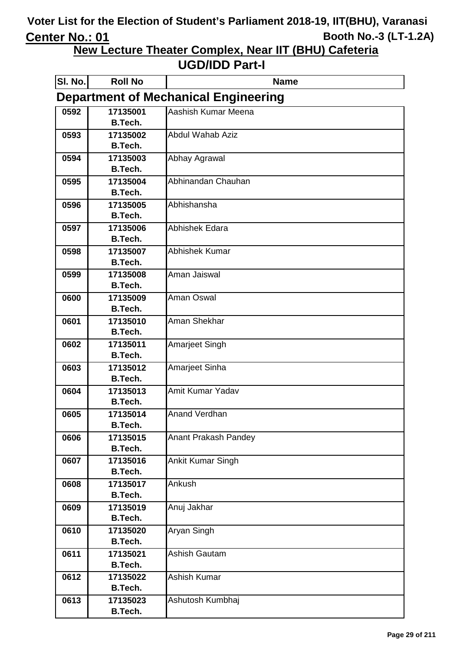**New Lecture Theater Complex, Near IIT (BHU) Cafeteria**

| SI. No. | <b>Roll No</b>                              | <b>Name</b>                 |  |  |
|---------|---------------------------------------------|-----------------------------|--|--|
|         | <b>Department of Mechanical Engineering</b> |                             |  |  |
| 0592    | 17135001                                    | Aashish Kumar Meena         |  |  |
|         | <b>B.Tech.</b>                              |                             |  |  |
| 0593    | 17135002                                    | <b>Abdul Wahab Aziz</b>     |  |  |
|         | <b>B.Tech.</b>                              |                             |  |  |
| 0594    | 17135003                                    | Abhay Agrawal               |  |  |
|         | <b>B.Tech.</b>                              |                             |  |  |
| 0595    | 17135004                                    | Abhinandan Chauhan          |  |  |
|         | <b>B.Tech.</b>                              |                             |  |  |
| 0596    | 17135005                                    | Abhishansha                 |  |  |
|         | <b>B.Tech.</b>                              | Abhishek Edara              |  |  |
| 0597    | 17135006<br><b>B.Tech.</b>                  |                             |  |  |
| 0598    | 17135007                                    | Abhishek Kumar              |  |  |
|         | <b>B.Tech.</b>                              |                             |  |  |
| 0599    | 17135008                                    | Aman Jaiswal                |  |  |
|         | <b>B.Tech.</b>                              |                             |  |  |
| 0600    | 17135009                                    | Aman Oswal                  |  |  |
|         | <b>B.Tech.</b>                              |                             |  |  |
| 0601    | 17135010                                    | Aman Shekhar                |  |  |
|         | <b>B.Tech.</b>                              |                             |  |  |
| 0602    | 17135011                                    | Amarjeet Singh              |  |  |
|         | <b>B.Tech.</b>                              |                             |  |  |
| 0603    | 17135012                                    | Amarjeet Sinha              |  |  |
|         | <b>B.Tech.</b>                              |                             |  |  |
| 0604    | 17135013                                    | Amit Kumar Yadav            |  |  |
|         | <b>B.Tech.</b>                              |                             |  |  |
| 0605    | 17135014                                    | <b>Anand Verdhan</b>        |  |  |
|         | <b>B.Tech.</b>                              | <b>Anant Prakash Pandey</b> |  |  |
| 0606    | 17135015<br><b>B.Tech.</b>                  |                             |  |  |
| 0607    | 17135016                                    | Ankit Kumar Singh           |  |  |
|         | <b>B.Tech.</b>                              |                             |  |  |
| 0608    | 17135017                                    | Ankush                      |  |  |
|         | <b>B.Tech.</b>                              |                             |  |  |
| 0609    | 17135019                                    | Anuj Jakhar                 |  |  |
|         | <b>B.Tech.</b>                              |                             |  |  |
| 0610    | 17135020                                    | Aryan Singh                 |  |  |
|         | <b>B.Tech.</b>                              |                             |  |  |
| 0611    | 17135021                                    | <b>Ashish Gautam</b>        |  |  |
|         | <b>B.Tech.</b>                              |                             |  |  |
| 0612    | 17135022                                    | Ashish Kumar                |  |  |
|         | <b>B.Tech.</b>                              |                             |  |  |
| 0613    | 17135023                                    | Ashutosh Kumbhaj            |  |  |
|         | <b>B.Tech.</b>                              |                             |  |  |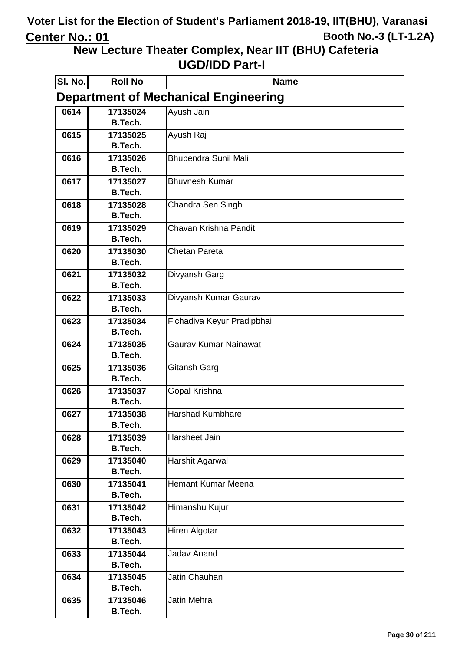**New Lecture Theater Complex, Near IIT (BHU) Cafeteria**

| SI. No. | <b>Roll No</b>             | <b>Name</b>                                 |
|---------|----------------------------|---------------------------------------------|
|         |                            | <b>Department of Mechanical Engineering</b> |
| 0614    | 17135024                   | Ayush Jain                                  |
|         | B.Tech.                    |                                             |
| 0615    | 17135025                   | Ayush Raj                                   |
|         | <b>B.Tech.</b>             |                                             |
| 0616    | 17135026                   | <b>Bhupendra Sunil Mali</b>                 |
|         | <b>B.Tech.</b>             |                                             |
| 0617    | 17135027<br><b>B.Tech.</b> | <b>Bhuvnesh Kumar</b>                       |
| 0618    | 17135028                   | Chandra Sen Singh                           |
|         | <b>B.Tech.</b>             |                                             |
| 0619    | 17135029                   | Chavan Krishna Pandit                       |
|         | <b>B.Tech.</b>             |                                             |
| 0620    | 17135030                   | Chetan Pareta                               |
|         | <b>B.Tech.</b>             |                                             |
| 0621    | 17135032                   | Divyansh Garg                               |
|         | <b>B.Tech.</b>             |                                             |
| 0622    | 17135033                   | Divyansh Kumar Gaurav                       |
|         | <b>B.Tech.</b>             |                                             |
| 0623    | 17135034                   | Fichadiya Keyur Pradipbhai                  |
|         | <b>B.Tech.</b>             |                                             |
| 0624    | 17135035                   | Gaurav Kumar Nainawat                       |
| 0625    | <b>B.Tech.</b><br>17135036 | Gitansh Garg                                |
|         | <b>B.Tech.</b>             |                                             |
| 0626    | 17135037                   | Gopal Krishna                               |
|         | <b>B.Tech.</b>             |                                             |
| 0627    | 17135038                   | <b>Harshad Kumbhare</b>                     |
|         | <b>B.Tech.</b>             |                                             |
| 0628    | 17135039                   | Harsheet Jain                               |
|         | <b>B.Tech.</b>             |                                             |
| 0629    | 17135040                   | Harshit Agarwal                             |
|         | <b>B.Tech.</b>             |                                             |
| 0630    | 17135041                   | <b>Hemant Kumar Meena</b>                   |
|         | <b>B.Tech.</b>             |                                             |
| 0631    | 17135042<br><b>B.Tech.</b> | Himanshu Kujur                              |
|         |                            |                                             |
| 0632    | 17135043<br>B.Tech.        | Hiren Algotar                               |
| 0633    | 17135044                   | <b>Jadav Anand</b>                          |
|         | <b>B.Tech.</b>             |                                             |
| 0634    | 17135045                   | Jatin Chauhan                               |
|         | <b>B.Tech.</b>             |                                             |
| 0635    | 17135046                   | Jatin Mehra                                 |
|         | B.Tech.                    |                                             |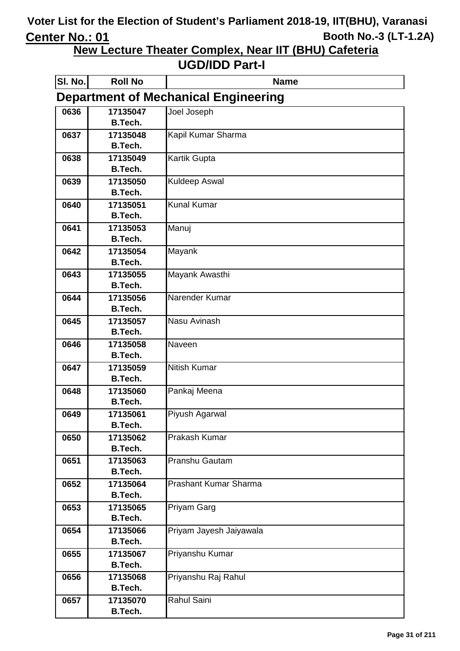**New Lecture Theater Complex, Near IIT (BHU) Cafeteria**

| SI. No. | <b>Roll No</b>             | <b>Name</b>                                 |
|---------|----------------------------|---------------------------------------------|
|         |                            | <b>Department of Mechanical Engineering</b> |
| 0636    | 17135047                   | Joel Joseph                                 |
|         | <b>B.Tech.</b>             |                                             |
| 0637    | 17135048                   | Kapil Kumar Sharma                          |
|         | <b>B.Tech.</b>             |                                             |
| 0638    | 17135049                   | <b>Kartik Gupta</b>                         |
|         | <b>B.Tech.</b>             |                                             |
| 0639    | 17135050<br><b>B.Tech.</b> | <b>Kuldeep Aswal</b>                        |
| 0640    | 17135051                   | <b>Kunal Kumar</b>                          |
|         | <b>B.Tech.</b>             |                                             |
| 0641    | 17135053                   | Manuj                                       |
|         | <b>B.Tech.</b>             |                                             |
| 0642    | 17135054                   | Mayank                                      |
|         | <b>B.Tech.</b>             |                                             |
| 0643    | 17135055                   | Mayank Awasthi                              |
|         | <b>B.Tech.</b>             |                                             |
| 0644    | 17135056                   | Narender Kumar                              |
|         | <b>B.Tech.</b>             |                                             |
| 0645    | 17135057                   | Nasu Avinash                                |
|         | <b>B.Tech.</b>             |                                             |
| 0646    | 17135058                   | Naveen                                      |
|         | <b>B.Tech.</b>             |                                             |
| 0647    | 17135059                   | Nitish Kumar                                |
|         | <b>B.Tech.</b>             |                                             |
| 0648    | 17135060                   | Pankaj Meena                                |
|         | <b>B.Tech.</b>             |                                             |
| 0649    | 17135061<br><b>B.Tech.</b> | Piyush Agarwal                              |
| 0650    | 17135062                   | Prakash Kumar                               |
|         | <b>B.Tech.</b>             |                                             |
| 0651    | 17135063                   | Pranshu Gautam                              |
|         | <b>B.Tech.</b>             |                                             |
| 0652    | 17135064                   | Prashant Kumar Sharma                       |
|         | B.Tech.                    |                                             |
| 0653    | 17135065                   | Priyam Garg                                 |
|         | <b>B.Tech.</b>             |                                             |
| 0654    | 17135066                   | Priyam Jayesh Jaiyawala                     |
|         | <b>B.Tech.</b>             |                                             |
| 0655    | 17135067                   | Priyanshu Kumar                             |
|         | <b>B.Tech.</b>             |                                             |
| 0656    | 17135068                   | Priyanshu Raj Rahul                         |
|         | <b>B.Tech.</b>             |                                             |
| 0657    | 17135070                   | Rahul Saini                                 |
|         | B.Tech.                    |                                             |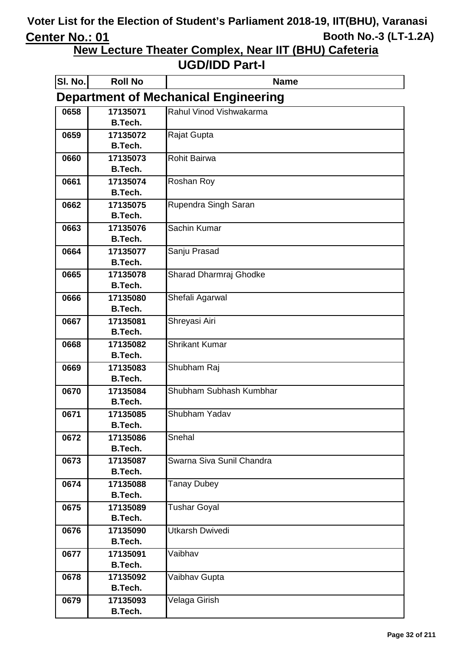**New Lecture Theater Complex, Near IIT (BHU) Cafeteria**

| SI. No. | <b>Roll No</b>                              | <b>Name</b>               |  |  |
|---------|---------------------------------------------|---------------------------|--|--|
|         | <b>Department of Mechanical Engineering</b> |                           |  |  |
| 0658    | 17135071                                    | Rahul Vinod Vishwakarma   |  |  |
|         | <b>B.Tech.</b>                              |                           |  |  |
| 0659    | 17135072                                    | Rajat Gupta               |  |  |
|         | <b>B.Tech.</b>                              |                           |  |  |
| 0660    | 17135073<br><b>B.Tech.</b>                  | Rohit Bairwa              |  |  |
| 0661    | 17135074                                    | Roshan Roy                |  |  |
|         | <b>B.Tech.</b>                              |                           |  |  |
| 0662    | 17135075                                    | Rupendra Singh Saran      |  |  |
|         | <b>B.Tech.</b>                              |                           |  |  |
| 0663    | 17135076                                    | Sachin Kumar              |  |  |
|         | <b>B.Tech.</b>                              |                           |  |  |
| 0664    | 17135077                                    | Sanju Prasad              |  |  |
|         | <b>B.Tech.</b>                              |                           |  |  |
| 0665    | 17135078                                    | Sharad Dharmraj Ghodke    |  |  |
|         | <b>B.Tech.</b>                              |                           |  |  |
| 0666    | 17135080                                    | Shefali Agarwal           |  |  |
|         | <b>B.Tech.</b><br>17135081                  |                           |  |  |
| 0667    | <b>B.Tech.</b>                              | Shreyasi Airi             |  |  |
| 0668    | 17135082                                    | <b>Shrikant Kumar</b>     |  |  |
|         | <b>B.Tech.</b>                              |                           |  |  |
| 0669    | 17135083                                    | Shubham Raj               |  |  |
|         | <b>B.Tech.</b>                              |                           |  |  |
| 0670    | 17135084                                    | Shubham Subhash Kumbhar   |  |  |
|         | <b>B.Tech.</b>                              |                           |  |  |
| 0671    | 17135085                                    | Shubham Yadav             |  |  |
|         | <b>B.Tech.</b>                              |                           |  |  |
| 0672    | 17135086                                    | Snehal                    |  |  |
| 0673    | <b>B.Tech.</b><br>17135087                  | Swarna Siva Sunil Chandra |  |  |
|         | <b>B.Tech.</b>                              |                           |  |  |
| 0674    | 17135088                                    | <b>Tanay Dubey</b>        |  |  |
|         | <b>B.Tech.</b>                              |                           |  |  |
| 0675    | 17135089                                    | <b>Tushar Goyal</b>       |  |  |
|         | <b>B.Tech.</b>                              |                           |  |  |
| 0676    | 17135090                                    | <b>Utkarsh Dwivedi</b>    |  |  |
|         | <b>B.Tech.</b>                              |                           |  |  |
| 0677    | 17135091                                    | Vaibhav                   |  |  |
|         | <b>B.Tech.</b>                              |                           |  |  |
| 0678    | 17135092                                    | Vaibhav Gupta             |  |  |
|         | <b>B.Tech.</b>                              |                           |  |  |
| 0679    | 17135093<br><b>B.Tech.</b>                  | Velaga Girish             |  |  |
|         |                                             |                           |  |  |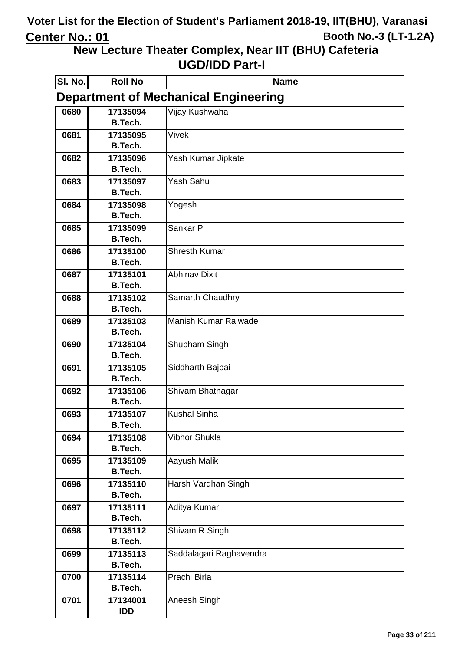**New Lecture Theater Complex, Near IIT (BHU) Cafeteria**

| SI. No. | <b>Roll No</b>                              | <b>Name</b>             |  |
|---------|---------------------------------------------|-------------------------|--|
|         | <b>Department of Mechanical Engineering</b> |                         |  |
| 0680    | 17135094                                    | Vijay Kushwaha          |  |
|         | <b>B.Tech.</b>                              |                         |  |
| 0681    | 17135095                                    | <b>Vivek</b>            |  |
|         | <b>B.Tech.</b>                              |                         |  |
| 0682    | 17135096                                    | Yash Kumar Jipkate      |  |
|         | <b>B.Tech.</b>                              |                         |  |
| 0683    | 17135097<br><b>B.Tech.</b>                  | Yash Sahu               |  |
| 0684    | 17135098                                    | Yogesh                  |  |
|         | <b>B.Tech.</b>                              |                         |  |
| 0685    | 17135099                                    | Sankar P                |  |
|         | <b>B.Tech.</b>                              |                         |  |
| 0686    | 17135100                                    | <b>Shresth Kumar</b>    |  |
|         | <b>B.Tech.</b>                              |                         |  |
| 0687    | 17135101                                    | <b>Abhinav Dixit</b>    |  |
|         | <b>B.Tech.</b>                              |                         |  |
| 0688    | 17135102                                    | <b>Samarth Chaudhry</b> |  |
|         | <b>B.Tech.</b>                              |                         |  |
| 0689    | 17135103                                    | Manish Kumar Rajwade    |  |
|         | <b>B.Tech.</b>                              |                         |  |
| 0690    | 17135104                                    | Shubham Singh           |  |
|         | <b>B.Tech.</b>                              |                         |  |
| 0691    | 17135105<br><b>B.Tech.</b>                  | Siddharth Bajpai        |  |
| 0692    | 17135106                                    |                         |  |
|         | <b>B.Tech.</b>                              | Shivam Bhatnagar        |  |
| 0693    | 17135107                                    | <b>Kushal Sinha</b>     |  |
|         | <b>B.Tech.</b>                              |                         |  |
| 0694    | 17135108                                    | Vibhor Shukla           |  |
|         | <b>B.Tech.</b>                              |                         |  |
| 0695    | 17135109                                    | Aayush Malik            |  |
|         | <b>B.Tech.</b>                              |                         |  |
| 0696    | 17135110                                    | Harsh Vardhan Singh     |  |
|         | <b>B.Tech.</b>                              |                         |  |
| 0697    | 17135111                                    | Aditya Kumar            |  |
|         | <b>B.Tech.</b>                              |                         |  |
| 0698    | 17135112                                    | Shivam R Singh          |  |
|         | <b>B.Tech.</b>                              |                         |  |
| 0699    | 17135113                                    | Saddalagari Raghavendra |  |
|         | <b>B.Tech.</b>                              |                         |  |
| 0700    | 17135114<br><b>B.Tech.</b>                  | Prachi Birla            |  |
| 0701    | 17134001                                    | Aneesh Singh            |  |
|         | <b>IDD</b>                                  |                         |  |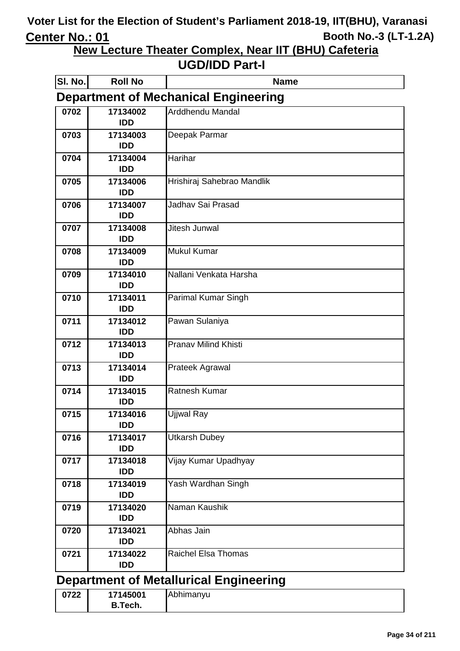**New Lecture Theater Complex, Near IIT (BHU) Cafeteria**

| SI. No.                                       | <b>Roll No</b>                              | <b>Name</b>                 |  |  |
|-----------------------------------------------|---------------------------------------------|-----------------------------|--|--|
|                                               | <b>Department of Mechanical Engineering</b> |                             |  |  |
| 0702                                          | 17134002<br><b>IDD</b>                      | Arddhendu Mandal            |  |  |
| 0703                                          | 17134003<br><b>IDD</b>                      | Deepak Parmar               |  |  |
| 0704                                          | 17134004<br><b>IDD</b>                      | Harihar                     |  |  |
| 0705                                          | 17134006<br><b>IDD</b>                      | Hrishiraj Sahebrao Mandlik  |  |  |
| 0706                                          | 17134007<br><b>IDD</b>                      | Jadhav Sai Prasad           |  |  |
| 0707                                          | 17134008<br><b>IDD</b>                      | Jitesh Junwal               |  |  |
| 0708                                          | 17134009<br><b>IDD</b>                      | <b>Mukul Kumar</b>          |  |  |
| 0709                                          | 17134010<br><b>IDD</b>                      | Nallani Venkata Harsha      |  |  |
| 0710                                          | 17134011<br><b>IDD</b>                      | Parimal Kumar Singh         |  |  |
| 0711                                          | 17134012<br><b>IDD</b>                      | Pawan Sulaniya              |  |  |
| 0712                                          | 17134013<br><b>IDD</b>                      | <b>Pranav Milind Khisti</b> |  |  |
| 0713                                          | 17134014<br><b>IDD</b>                      | Prateek Agrawal             |  |  |
| 0714                                          | 17134015<br><b>IDD</b>                      | <b>Ratnesh Kumar</b>        |  |  |
| 0715                                          | 17134016<br><b>IDD</b>                      | Ujjwal Ray                  |  |  |
| 0716                                          | 17134017<br><b>IDD</b>                      | <b>Utkarsh Dubey</b>        |  |  |
| 0717                                          | 17134018<br><b>IDD</b>                      | Vijay Kumar Upadhyay        |  |  |
| 0718                                          | 17134019<br><b>IDD</b>                      | Yash Wardhan Singh          |  |  |
| 0719                                          | 17134020<br><b>IDD</b>                      | Naman Kaushik               |  |  |
| 0720                                          | 17134021<br><b>IDD</b>                      | Abhas Jain                  |  |  |
| 0721                                          | 17134022<br><b>IDD</b>                      | <b>Raichel Elsa Thomas</b>  |  |  |
| <b>Department of Metallurical Engineering</b> |                                             |                             |  |  |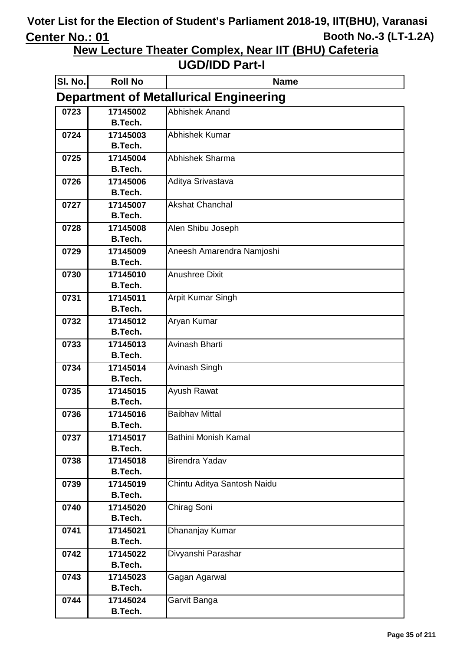**New Lecture Theater Complex, Near IIT (BHU) Cafeteria**

| SI. No. | <b>Roll No</b>             | <b>Name</b>                                   |
|---------|----------------------------|-----------------------------------------------|
|         |                            | <b>Department of Metallurical Engineering</b> |
| 0723    | 17145002                   | <b>Abhishek Anand</b>                         |
|         | <b>B.Tech.</b>             |                                               |
| 0724    | 17145003                   | Abhishek Kumar                                |
|         | <b>B.Tech.</b>             |                                               |
| 0725    | 17145004                   | <b>Abhishek Sharma</b>                        |
|         | <b>B.Tech.</b>             |                                               |
| 0726    | 17145006                   | Aditya Srivastava                             |
|         | <b>B.Tech.</b>             |                                               |
| 0727    | 17145007                   | <b>Akshat Chanchal</b>                        |
|         | <b>B.Tech.</b>             |                                               |
| 0728    | 17145008                   | Alen Shibu Joseph                             |
|         | <b>B.Tech.</b>             |                                               |
| 0729    | 17145009                   | Aneesh Amarendra Namjoshi                     |
|         | <b>B.Tech.</b>             | <b>Anushree Dixit</b>                         |
| 0730    | 17145010<br><b>B.Tech.</b> |                                               |
| 0731    | 17145011                   | <b>Arpit Kumar Singh</b>                      |
|         | <b>B.Tech.</b>             |                                               |
| 0732    | 17145012                   | Aryan Kumar                                   |
|         | <b>B.Tech.</b>             |                                               |
| 0733    | 17145013                   | Avinash Bharti                                |
|         | <b>B.Tech.</b>             |                                               |
| 0734    | 17145014                   | Avinash Singh                                 |
|         | <b>B.Tech.</b>             |                                               |
| 0735    | 17145015                   | Ayush Rawat                                   |
|         | <b>B.Tech.</b>             |                                               |
| 0736    | 17145016                   | <b>Baibhav Mittal</b>                         |
|         | B.Tech.                    |                                               |
| 0737    | 17145017                   | <b>Bathini Monish Kamal</b>                   |
|         | <b>B.Tech.</b>             |                                               |
| 0738    | 17145018                   | <b>Birendra Yadav</b>                         |
|         | <b>B.Tech.</b>             |                                               |
| 0739    | 17145019                   | Chintu Aditya Santosh Naidu                   |
|         | <b>B.Tech.</b>             |                                               |
| 0740    | 17145020                   | Chirag Soni                                   |
|         | <b>B.Tech.</b>             |                                               |
| 0741    | 17145021                   | Dhananjay Kumar                               |
|         | <b>B.Tech.</b>             |                                               |
| 0742    | 17145022                   | Divyanshi Parashar                            |
|         | <b>B.Tech.</b>             |                                               |
| 0743    | 17145023                   | Gagan Agarwal                                 |
|         | <b>B.Tech.</b>             |                                               |
| 0744    | 17145024                   | Garvit Banga                                  |
|         | <b>B.Tech.</b>             |                                               |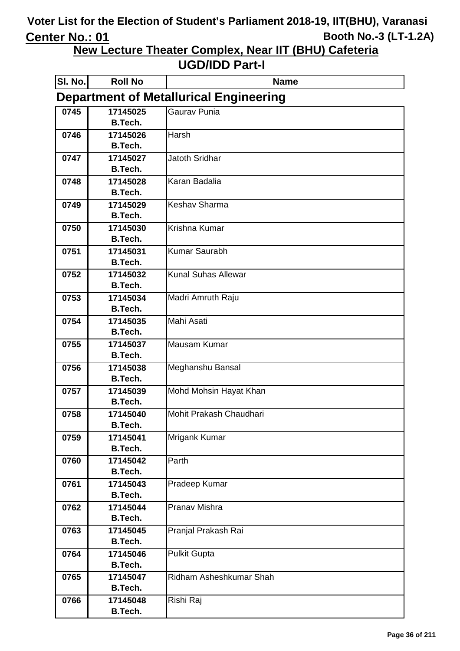**New Lecture Theater Complex, Near IIT (BHU) Cafeteria**

| SI. No. | <b>Roll No</b>                                | <b>Name</b>                |  |
|---------|-----------------------------------------------|----------------------------|--|
|         | <b>Department of Metallurical Engineering</b> |                            |  |
| 0745    | 17145025                                      | Gaurav Punia               |  |
|         | <b>B.Tech.</b>                                |                            |  |
| 0746    | 17145026                                      | Harsh                      |  |
|         | <b>B.Tech.</b>                                |                            |  |
| 0747    | 17145027                                      | <b>Jatoth Sridhar</b>      |  |
|         | <b>B.Tech.</b>                                |                            |  |
| 0748    | 17145028                                      | Karan Badalia              |  |
|         | <b>B.Tech.</b>                                |                            |  |
| 0749    | 17145029<br><b>B.Tech.</b>                    | Keshav Sharma              |  |
|         |                                               | Krishna Kumar              |  |
| 0750    | 17145030<br><b>B.Tech.</b>                    |                            |  |
| 0751    | 17145031                                      | <b>Kumar Saurabh</b>       |  |
|         | <b>B.Tech.</b>                                |                            |  |
| 0752    | 17145032                                      | <b>Kunal Suhas Allewar</b> |  |
|         | <b>B.Tech.</b>                                |                            |  |
| 0753    | 17145034                                      | Madri Amruth Raju          |  |
|         | <b>B.Tech.</b>                                |                            |  |
| 0754    | 17145035                                      | Mahi Asati                 |  |
|         | <b>B.Tech.</b>                                |                            |  |
| 0755    | 17145037                                      | Mausam Kumar               |  |
|         | <b>B.Tech.</b>                                |                            |  |
| 0756    | 17145038                                      | Meghanshu Bansal           |  |
|         | <b>B.Tech.</b>                                |                            |  |
| 0757    | 17145039                                      | Mohd Mohsin Hayat Khan     |  |
|         | <b>B.Tech.</b>                                |                            |  |
| 0758    | 17145040                                      | Mohit Prakash Chaudhari    |  |
|         | <b>B.Tech.</b>                                |                            |  |
| 0759    | 17145041                                      | Mrigank Kumar              |  |
|         | <b>B.Tech.</b>                                |                            |  |
| 0760    | 17145042<br><b>B.Tech.</b>                    | Parth                      |  |
| 0761    | 17145043                                      | Pradeep Kumar              |  |
|         | <b>B.Tech.</b>                                |                            |  |
| 0762    | 17145044                                      | Pranav Mishra              |  |
|         | <b>B.Tech.</b>                                |                            |  |
| 0763    | 17145045                                      | Pranjal Prakash Rai        |  |
|         | <b>B.Tech.</b>                                |                            |  |
| 0764    | 17145046                                      | <b>Pulkit Gupta</b>        |  |
|         | <b>B.Tech.</b>                                |                            |  |
| 0765    | 17145047                                      | Ridham Asheshkumar Shah    |  |
|         | <b>B.Tech.</b>                                |                            |  |
| 0766    | 17145048                                      | Rishi Raj                  |  |
|         | <b>B.Tech.</b>                                |                            |  |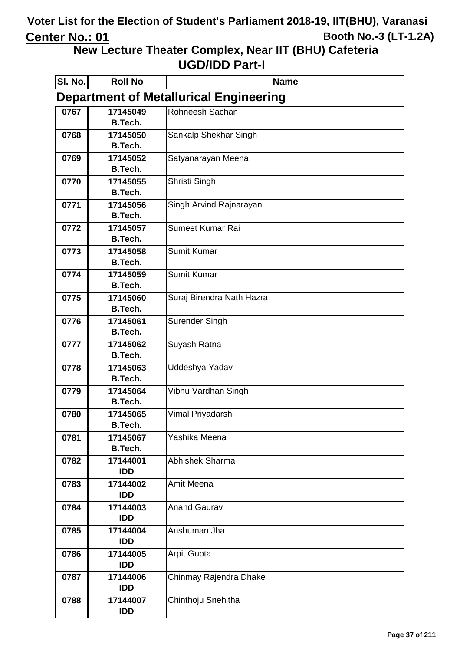**New Lecture Theater Complex, Near IIT (BHU) Cafeteria**

| SI. No.                                       | <b>Roll No</b>             | <b>Name</b>               |
|-----------------------------------------------|----------------------------|---------------------------|
| <b>Department of Metallurical Engineering</b> |                            |                           |
| 0767                                          | 17145049                   | Rohneesh Sachan           |
|                                               | <b>B.Tech.</b>             |                           |
| 0768                                          | 17145050                   | Sankalp Shekhar Singh     |
|                                               | <b>B.Tech.</b>             |                           |
| 0769                                          | 17145052                   | Satyanarayan Meena        |
|                                               | <b>B.Tech.</b>             |                           |
| 0770                                          | 17145055                   | Shristi Singh             |
|                                               | <b>B.Tech.</b>             |                           |
| 0771                                          | 17145056                   | Singh Arvind Rajnarayan   |
|                                               | <b>B.Tech.</b>             | Sumeet Kumar Rai          |
| 0772                                          | 17145057<br><b>B.Tech.</b> |                           |
| 0773                                          | 17145058                   | <b>Sumit Kumar</b>        |
|                                               | <b>B.Tech.</b>             |                           |
| 0774                                          | 17145059                   | <b>Sumit Kumar</b>        |
|                                               | <b>B.Tech.</b>             |                           |
| 0775                                          | 17145060                   | Suraj Birendra Nath Hazra |
|                                               | <b>B.Tech.</b>             |                           |
| 0776                                          | 17145061                   | Surender Singh            |
|                                               | <b>B.Tech.</b>             |                           |
| 0777                                          | 17145062                   | Suyash Ratna              |
|                                               | <b>B.Tech.</b>             |                           |
| 0778                                          | 17145063                   | Uddeshya Yadav            |
|                                               | <b>B.Tech.</b>             |                           |
| 0779                                          | 17145064                   | Vibhu Vardhan Singh       |
|                                               | <b>B.Tech.</b>             |                           |
| 0780                                          | 17145065                   | Vimal Priyadarshi         |
|                                               | <b>B.Tech.</b>             |                           |
| 0781                                          | 17145067                   | Yashika Meena             |
|                                               | <b>B.Tech.</b>             |                           |
| 0782                                          | 17144001                   | <b>Abhishek Sharma</b>    |
|                                               | <b>IDD</b>                 |                           |
| 0783                                          | 17144002<br><b>IDD</b>     | Amit Meena                |
| 0784                                          | 17144003                   | <b>Anand Gaurav</b>       |
|                                               | <b>IDD</b>                 |                           |
| 0785                                          | 17144004                   | Anshuman Jha              |
|                                               | <b>IDD</b>                 |                           |
| 0786                                          | 17144005                   | <b>Arpit Gupta</b>        |
|                                               | <b>IDD</b>                 |                           |
| 0787                                          | 17144006                   | Chinmay Rajendra Dhake    |
|                                               | <b>IDD</b>                 |                           |
| 0788                                          | 17144007                   | Chinthoju Snehitha        |
|                                               | <b>IDD</b>                 |                           |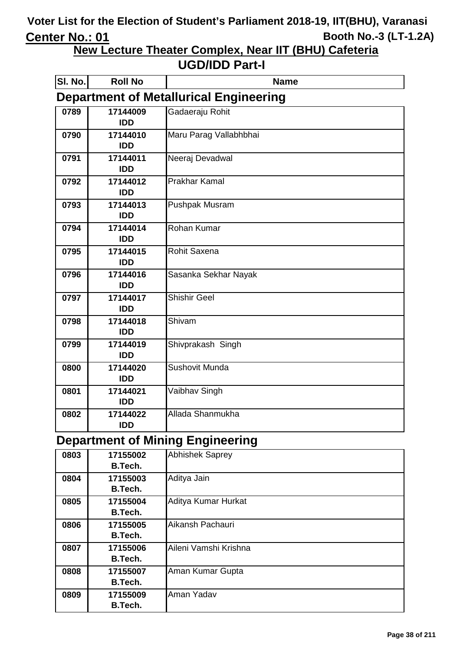**New Lecture Theater Complex, Near IIT (BHU) Cafeteria**

#### **UGD/IDD Part-I**

| <b>SI. No.</b> | <b>Roll No</b> | <b>Name</b>                                   |
|----------------|----------------|-----------------------------------------------|
|                |                | <b>Department of Metallurical Engineering</b> |
| 0789           | 17144009       | Gadaeraju Rohit                               |
|                | <b>IDD</b>     |                                               |
| 0790           | 17144010       | Maru Parag Vallabhbhai                        |
|                | <b>IDD</b>     |                                               |
| 0791           | 17144011       | Neeraj Devadwal                               |
|                | <b>IDD</b>     |                                               |
| 0792           | 17144012       | <b>Prakhar Kamal</b>                          |
|                | <b>IDD</b>     |                                               |
| 0793           | 17144013       | <b>Pushpak Musram</b>                         |
|                | <b>IDD</b>     |                                               |
| 0794           | 17144014       | Rohan Kumar                                   |
|                | <b>IDD</b>     |                                               |
| 0795           | 17144015       | <b>Rohit Saxena</b>                           |
|                | <b>IDD</b>     |                                               |
| 0796           | 17144016       | Sasanka Sekhar Nayak                          |
|                | <b>IDD</b>     |                                               |
| 0797           | 17144017       | <b>Shishir Geel</b>                           |
|                | <b>IDD</b>     |                                               |
| 0798           | 17144018       | Shivam                                        |
|                | <b>IDD</b>     |                                               |
| 0799           | 17144019       | Shivprakash Singh                             |
|                | <b>IDD</b>     |                                               |
| 0800           | 17144020       | <b>Sushovit Munda</b>                         |
|                | <b>IDD</b>     |                                               |
| 0801           | 17144021       | Vaibhav Singh                                 |
|                | <b>IDD</b>     |                                               |
| 0802           | 17144022       | Allada Shanmukha                              |
|                | <b>IDD</b>     |                                               |

### **Department of Mining Engineering**

| 0803 | 17155002<br>B.Tech. | <b>Abhishek Saprey</b> |
|------|---------------------|------------------------|
| 0804 | 17155003<br>B.Tech. | Aditya Jain            |
| 0805 | 17155004<br>B.Tech. | Aditya Kumar Hurkat    |
| 0806 | 17155005<br>B.Tech. | Aikansh Pachauri       |
| 0807 | 17155006<br>B.Tech. | Aileni Vamshi Krishna  |
| 0808 | 17155007<br>B.Tech. | Aman Kumar Gupta       |
| 0809 | 17155009<br>B.Tech. | Aman Yadav             |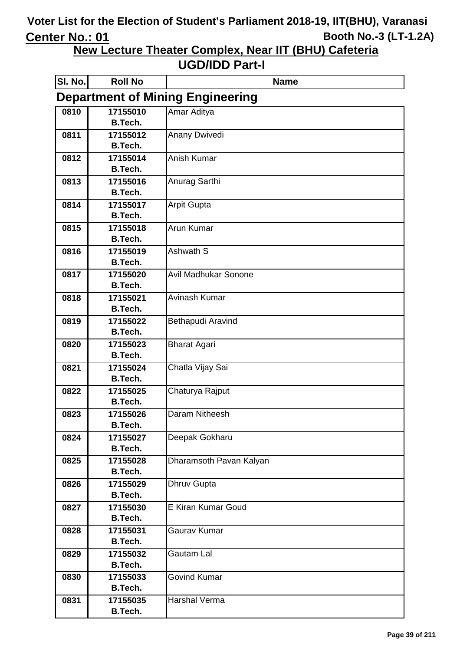**New Lecture Theater Complex, Near IIT (BHU) Cafeteria**

| SI. No.                                 | <b>Roll No</b>             | <b>Name</b>               |
|-----------------------------------------|----------------------------|---------------------------|
| <b>Department of Mining Engineering</b> |                            |                           |
| 0810                                    | 17155010                   | Amar Aditya               |
|                                         | <b>B.Tech.</b>             |                           |
| 0811                                    | 17155012                   | Anany Dwivedi             |
|                                         | <b>B.Tech.</b>             |                           |
| 0812                                    | 17155014                   | Anish Kumar               |
|                                         | <b>B.Tech.</b>             |                           |
| 0813                                    | 17155016<br><b>B.Tech.</b> | Anurag Sarthi             |
|                                         |                            |                           |
| 0814                                    | 17155017<br><b>B.Tech.</b> | <b>Arpit Gupta</b>        |
| 0815                                    | 17155018                   | Arun Kumar                |
|                                         | <b>B.Tech.</b>             |                           |
| 0816                                    | 17155019                   | Ashwath S                 |
|                                         | <b>B.Tech.</b>             |                           |
| 0817                                    | 17155020                   | Avil Madhukar Sonone      |
|                                         | <b>B.Tech.</b>             |                           |
| 0818                                    | 17155021                   | Avinash Kumar             |
|                                         | <b>B.Tech.</b>             |                           |
| 0819                                    | 17155022                   | Bethapudi Aravind         |
|                                         | <b>B.Tech.</b>             |                           |
| 0820                                    | 17155023                   | <b>Bharat Agari</b>       |
|                                         | <b>B.Tech.</b>             |                           |
| 0821                                    | 17155024                   | Chatla Vijay Sai          |
|                                         | <b>B.Tech.</b>             |                           |
| 0822                                    | 17155025                   | Chaturya Rajput           |
|                                         | <b>B.Tech.</b>             |                           |
| 0823                                    | 17155026                   | Daram Nitheesh            |
|                                         | B.Tech.                    |                           |
| 0824                                    | 17155027<br><b>B.Tech.</b> | Deepak Gokharu            |
| 0825                                    | 17155028                   | Dharamsoth Pavan Kalyan   |
|                                         | <b>B.Tech.</b>             |                           |
| 0826                                    | 17155029                   | Dhruv Gupta               |
|                                         | <b>B.Tech.</b>             |                           |
| 0827                                    | 17155030                   | <b>E Kiran Kumar Goud</b> |
|                                         | <b>B.Tech.</b>             |                           |
| 0828                                    | 17155031                   | Gaurav Kumar              |
|                                         | <b>B.Tech.</b>             |                           |
| 0829                                    | 17155032                   | Gautam Lal                |
|                                         | <b>B.Tech.</b>             |                           |
| 0830                                    | 17155033                   | <b>Govind Kumar</b>       |
|                                         | <b>B.Tech.</b>             |                           |
| 0831                                    | 17155035                   | Harshal Verma             |
|                                         | <b>B.Tech.</b>             |                           |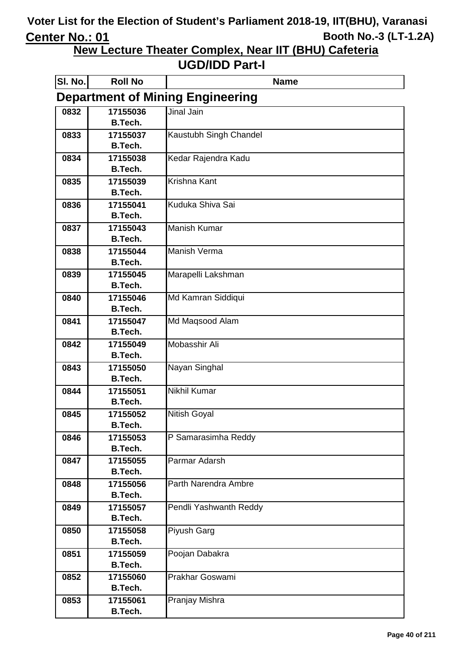**New Lecture Theater Complex, Near IIT (BHU) Cafeteria**

| SI. No. | <b>Roll No</b>                          | <b>Name</b>            |  |
|---------|-----------------------------------------|------------------------|--|
|         | <b>Department of Mining Engineering</b> |                        |  |
| 0832    | 17155036                                | Jinal Jain             |  |
|         | B.Tech.                                 |                        |  |
| 0833    | 17155037                                | Kaustubh Singh Chandel |  |
|         | <b>B.Tech.</b>                          |                        |  |
| 0834    | 17155038                                | Kedar Rajendra Kadu    |  |
|         | <b>B.Tech.</b>                          |                        |  |
| 0835    | 17155039                                | <b>Krishna Kant</b>    |  |
|         | <b>B.Tech.</b>                          |                        |  |
| 0836    | 17155041                                | Kuduka Shiva Sai       |  |
|         | <b>B.Tech.</b>                          |                        |  |
| 0837    | 17155043<br><b>B.Tech.</b>              | <b>Manish Kumar</b>    |  |
| 0838    | 17155044                                | <b>Manish Verma</b>    |  |
|         | <b>B.Tech.</b>                          |                        |  |
| 0839    | 17155045                                | Marapelli Lakshman     |  |
|         | <b>B.Tech.</b>                          |                        |  |
| 0840    | 17155046                                | Md Kamran Siddiqui     |  |
|         | <b>B.Tech.</b>                          |                        |  |
| 0841    | 17155047                                | Md Maqsood Alam        |  |
|         | <b>B.Tech.</b>                          |                        |  |
| 0842    | 17155049                                | Mobasshir Ali          |  |
|         | <b>B.Tech.</b>                          |                        |  |
| 0843    | 17155050                                | Nayan Singhal          |  |
|         | <b>B.Tech.</b>                          |                        |  |
| 0844    | 17155051                                | <b>Nikhil Kumar</b>    |  |
|         | <b>B.Tech.</b>                          |                        |  |
| 0845    | 17155052                                | <b>Nitish Goyal</b>    |  |
|         | <b>B.Tech.</b>                          |                        |  |
| 0846    | 17155053                                | P Samarasimha Reddy    |  |
|         | <b>B.Tech.</b>                          |                        |  |
| 0847    | 17155055                                | Parmar Adarsh          |  |
|         | <b>B.Tech.</b>                          |                        |  |
| 0848    | 17155056                                | Parth Narendra Ambre   |  |
|         | <b>B.Tech.</b>                          |                        |  |
| 0849    | 17155057<br><b>B.Tech.</b>              | Pendli Yashwanth Reddy |  |
| 0850    | 17155058                                | Piyush Garg            |  |
|         | <b>B.Tech.</b>                          |                        |  |
| 0851    | 17155059                                | Poojan Dabakra         |  |
|         | <b>B.Tech.</b>                          |                        |  |
| 0852    | 17155060                                | Prakhar Goswami        |  |
|         | <b>B.Tech.</b>                          |                        |  |
| 0853    | 17155061                                | Pranjay Mishra         |  |
|         | B.Tech.                                 |                        |  |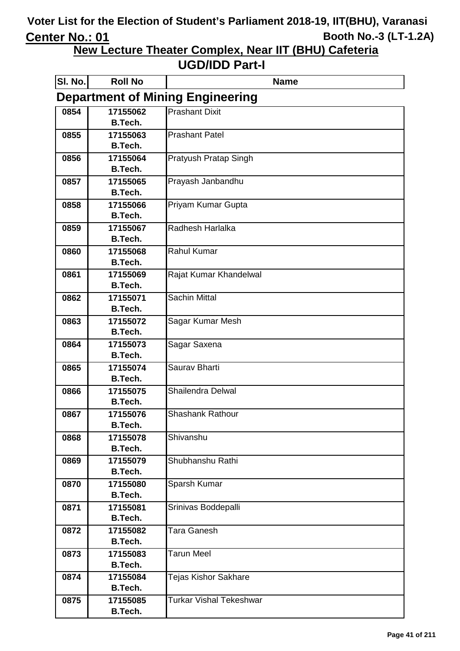**New Lecture Theater Complex, Near IIT (BHU) Cafeteria**

| SI. No. | <b>Roll No</b>                          | <b>Name</b>                    |  |
|---------|-----------------------------------------|--------------------------------|--|
|         | <b>Department of Mining Engineering</b> |                                |  |
| 0854    | 17155062                                | <b>Prashant Dixit</b>          |  |
|         | <b>B.Tech.</b>                          |                                |  |
| 0855    | 17155063                                | <b>Prashant Patel</b>          |  |
|         | <b>B.Tech.</b>                          |                                |  |
| 0856    | 17155064                                | Pratyush Pratap Singh          |  |
|         | <b>B.Tech.</b>                          |                                |  |
| 0857    | 17155065                                | Prayash Janbandhu              |  |
|         | <b>B.Tech.</b>                          |                                |  |
| 0858    | 17155066                                | Priyam Kumar Gupta             |  |
|         | B.Tech.                                 |                                |  |
| 0859    | 17155067<br><b>B.Tech.</b>              | Radhesh Harlalka               |  |
|         |                                         | <b>Rahul Kumar</b>             |  |
| 0860    | 17155068<br><b>B.Tech.</b>              |                                |  |
| 0861    | 17155069                                | Rajat Kumar Khandelwal         |  |
|         | <b>B.Tech.</b>                          |                                |  |
| 0862    | 17155071                                | <b>Sachin Mittal</b>           |  |
|         | <b>B.Tech.</b>                          |                                |  |
| 0863    | 17155072                                | Sagar Kumar Mesh               |  |
|         | <b>B.Tech.</b>                          |                                |  |
| 0864    | 17155073                                | Sagar Saxena                   |  |
|         | <b>B.Tech.</b>                          |                                |  |
| 0865    | 17155074                                | Saurav Bharti                  |  |
|         | <b>B.Tech.</b>                          |                                |  |
| 0866    | 17155075                                | Shailendra Delwal              |  |
|         | <b>B.Tech.</b>                          |                                |  |
| 0867    | 17155076                                | <b>Shashank Rathour</b>        |  |
|         | <b>B.Tech.</b>                          |                                |  |
| 0868    | 17155078                                | Shivanshu                      |  |
|         | <b>B.Tech.</b>                          |                                |  |
| 0869    | 17155079<br><b>B.Tech.</b>              | Shubhanshu Rathi               |  |
|         |                                         |                                |  |
| 0870    | 17155080<br><b>B.Tech.</b>              | Sparsh Kumar                   |  |
| 0871    | 17155081                                | Srinivas Boddepalli            |  |
|         | <b>B.Tech.</b>                          |                                |  |
| 0872    | 17155082                                | <b>Tara Ganesh</b>             |  |
|         | <b>B.Tech.</b>                          |                                |  |
| 0873    | 17155083                                | <b>Tarun Meel</b>              |  |
|         | <b>B.Tech.</b>                          |                                |  |
| 0874    | 17155084                                | <b>Tejas Kishor Sakhare</b>    |  |
|         | <b>B.Tech.</b>                          |                                |  |
| 0875    | 17155085                                | <b>Turkar Vishal Tekeshwar</b> |  |
|         | <b>B.Tech.</b>                          |                                |  |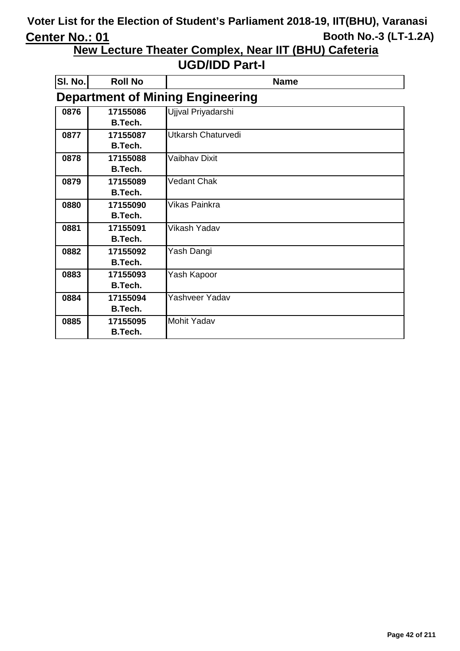**New Lecture Theater Complex, Near IIT (BHU) Cafeteria**

| SI. No. | <b>Roll No</b> | <b>Name</b>                             |
|---------|----------------|-----------------------------------------|
|         |                | <b>Department of Mining Engineering</b> |
| 0876    | 17155086       | Ujjval Priyadarshi                      |
|         | <b>B.Tech.</b> |                                         |
| 0877    | 17155087       | Utkarsh Chaturvedi                      |
|         | <b>B.Tech.</b> |                                         |
| 0878    | 17155088       | <b>Vaibhav Dixit</b>                    |
|         | B.Tech.        |                                         |
| 0879    | 17155089       | <b>Vedant Chak</b>                      |
|         | <b>B.Tech.</b> |                                         |
| 0880    | 17155090       | <b>Vikas Painkra</b>                    |
|         | <b>B.Tech.</b> |                                         |
| 0881    | 17155091       | Vikash Yadav                            |
|         | <b>B.Tech.</b> |                                         |
| 0882    | 17155092       | Yash Dangi                              |
|         | <b>B.Tech.</b> |                                         |
| 0883    | 17155093       | Yash Kapoor                             |
|         | <b>B.Tech.</b> |                                         |
| 0884    | 17155094       | Yashveer Yadav                          |
|         | B.Tech.        |                                         |
| 0885    | 17155095       | <b>Mohit Yadav</b>                      |
|         | <b>B.Tech.</b> |                                         |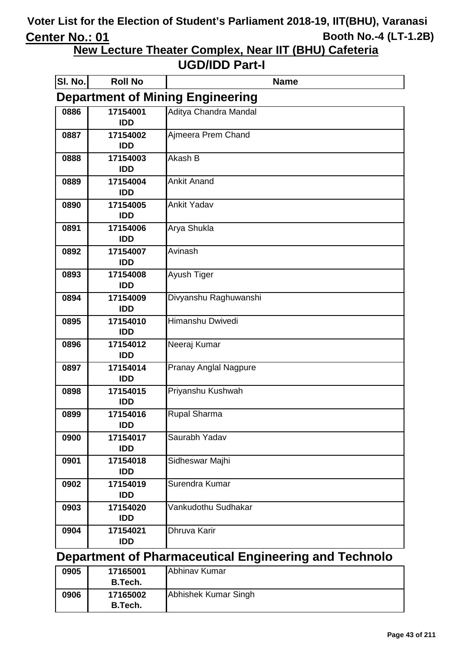**New Lecture Theater Complex, Near IIT (BHU) Cafeteria**

#### **UGD/IDD Part-I**

| SI. No. | <b>Roll No</b>                          | <b>Name</b>                  |  |
|---------|-----------------------------------------|------------------------------|--|
|         | <b>Department of Mining Engineering</b> |                              |  |
| 0886    | 17154001<br><b>IDD</b>                  | Aditya Chandra Mandal        |  |
| 0887    | 17154002<br><b>IDD</b>                  | Ajmeera Prem Chand           |  |
| 0888    | 17154003<br><b>IDD</b>                  | Akash B                      |  |
| 0889    | 17154004<br><b>IDD</b>                  | <b>Ankit Anand</b>           |  |
| 0890    | 17154005<br><b>IDD</b>                  | <b>Ankit Yadav</b>           |  |
| 0891    | 17154006<br><b>IDD</b>                  | Arya Shukla                  |  |
| 0892    | 17154007<br><b>IDD</b>                  | Avinash                      |  |
| 0893    | 17154008<br><b>IDD</b>                  | Ayush Tiger                  |  |
| 0894    | 17154009<br><b>IDD</b>                  | Divyanshu Raghuwanshi        |  |
| 0895    | 17154010<br><b>IDD</b>                  | Himanshu Dwivedi             |  |
| 0896    | 17154012<br><b>IDD</b>                  | Neeraj Kumar                 |  |
| 0897    | 17154014<br><b>IDD</b>                  | <b>Pranay Anglal Nagpure</b> |  |
| 0898    | 17154015<br><b>IDD</b>                  | Priyanshu Kushwah            |  |
| 0899    | 17154016<br>IDD                         | <b>Rupal Sharma</b>          |  |
| 0900    | 17154017<br><b>IDD</b>                  | Saurabh Yadav                |  |
| 0901    | 17154018<br><b>IDD</b>                  | Sidheswar Majhi              |  |
| 0902    | 17154019<br><b>IDD</b>                  | Surendra Kumar               |  |
| 0903    | 17154020<br><b>IDD</b>                  | Vankudothu Sudhakar          |  |
| 0904    | 17154021<br><b>IDD</b>                  | Dhruva Karir                 |  |

### **Department of Pharmaceutical Engineering and Technolo**

| 0905 | 17165001<br>B.Tech. | Abhinav Kumar        |
|------|---------------------|----------------------|
| 0906 | 17165002<br>B.Tech. | Abhishek Kumar Singh |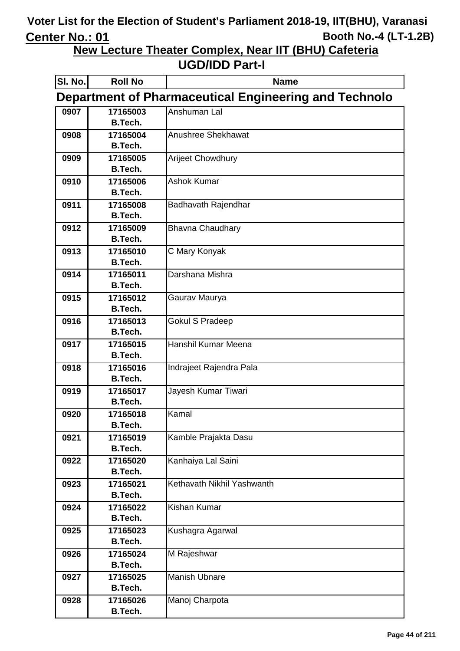**New Lecture Theater Complex, Near IIT (BHU) Cafeteria**

| SI. No.                                                      | <b>Roll No</b>             | <b>Name</b>                |
|--------------------------------------------------------------|----------------------------|----------------------------|
| <b>Department of Pharmaceutical Engineering and Technolo</b> |                            |                            |
| 0907                                                         | 17165003                   | Anshuman Lal               |
|                                                              | <b>B.Tech.</b>             |                            |
| 0908                                                         | 17165004                   | Anushree Shekhawat         |
|                                                              | <b>B.Tech.</b>             |                            |
| 0909                                                         | 17165005                   | <b>Arijeet Chowdhury</b>   |
|                                                              | <b>B.Tech.</b>             |                            |
| 0910                                                         | 17165006                   | <b>Ashok Kumar</b>         |
|                                                              | <b>B.Tech.</b>             |                            |
| 0911                                                         | 17165008                   | Badhavath Rajendhar        |
|                                                              | <b>B.Tech.</b>             |                            |
| 0912                                                         | 17165009                   | <b>Bhavna Chaudhary</b>    |
|                                                              | <b>B.Tech.</b>             |                            |
| 0913                                                         | 17165010<br><b>B.Tech.</b> | C Mary Konyak              |
| 0914                                                         | 17165011                   | Darshana Mishra            |
|                                                              | <b>B.Tech.</b>             |                            |
| 0915                                                         | 17165012                   | Gaurav Maurya              |
|                                                              | <b>B.Tech.</b>             |                            |
| 0916                                                         | 17165013                   | <b>Gokul S Pradeep</b>     |
|                                                              | <b>B.Tech.</b>             |                            |
| 0917                                                         | 17165015                   | Hanshil Kumar Meena        |
|                                                              | <b>B.Tech.</b>             |                            |
| 0918                                                         | 17165016                   | Indrajeet Rajendra Pala    |
|                                                              | <b>B.Tech.</b>             |                            |
| 0919                                                         | 17165017                   | Jayesh Kumar Tiwari        |
|                                                              | <b>B.Tech.</b>             |                            |
| 0920                                                         | 17165018                   | Kamal                      |
|                                                              | <b>B.Tech.</b>             |                            |
| 0921                                                         | 17165019                   | Kamble Prajakta Dasu       |
|                                                              | <b>B.Tech.</b>             |                            |
| 0922                                                         | 17165020<br><b>B.Tech.</b> | Kanhaiya Lal Saini         |
| 0923                                                         | 17165021                   | Kethavath Nikhil Yashwanth |
|                                                              | <b>B.Tech.</b>             |                            |
| 0924                                                         | 17165022                   | <b>Kishan Kumar</b>        |
|                                                              | <b>B.Tech.</b>             |                            |
| 0925                                                         | 17165023                   | Kushagra Agarwal           |
|                                                              | <b>B.Tech.</b>             |                            |
| 0926                                                         | 17165024                   | M Rajeshwar                |
|                                                              | <b>B.Tech.</b>             |                            |
| 0927                                                         | 17165025                   | <b>Manish Ubnare</b>       |
|                                                              | <b>B.Tech.</b>             |                            |
| 0928                                                         | 17165026                   | Manoj Charpota             |
|                                                              | <b>B.Tech.</b>             |                            |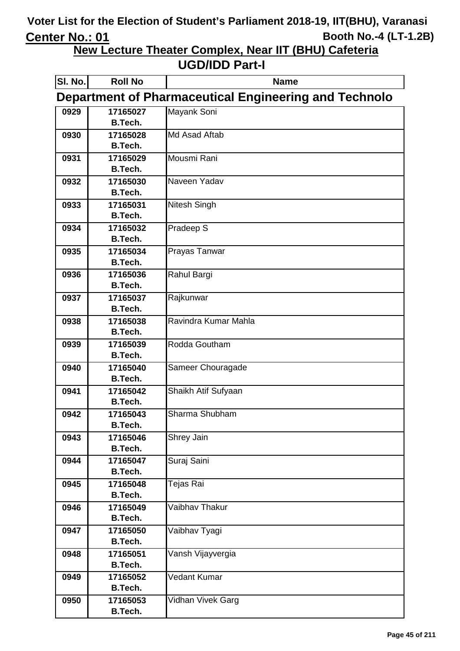**New Lecture Theater Complex, Near IIT (BHU) Cafeteria**

| SI. No. | <b>Roll No</b>                                        | <b>Name</b>          |  |
|---------|-------------------------------------------------------|----------------------|--|
|         | Department of Pharmaceutical Engineering and Technolo |                      |  |
| 0929    | 17165027                                              | Mayank Soni          |  |
|         | <b>B.Tech.</b>                                        |                      |  |
| 0930    | 17165028                                              | Md Asad Aftab        |  |
|         | <b>B.Tech.</b>                                        |                      |  |
| 0931    | 17165029                                              | Mousmi Rani          |  |
|         | <b>B.Tech.</b>                                        |                      |  |
| 0932    | 17165030                                              | Naveen Yadav         |  |
|         | <b>B.Tech.</b>                                        |                      |  |
| 0933    | 17165031                                              | Nitesh Singh         |  |
|         | <b>B.Tech.</b>                                        |                      |  |
| 0934    | 17165032                                              | Pradeep S            |  |
|         | <b>B.Tech.</b>                                        |                      |  |
| 0935    | 17165034<br><b>B.Tech.</b>                            | Prayas Tanwar        |  |
|         |                                                       |                      |  |
| 0936    | 17165036<br><b>B.Tech.</b>                            | Rahul Bargi          |  |
| 0937    | 17165037                                              | Rajkunwar            |  |
|         | <b>B.Tech.</b>                                        |                      |  |
| 0938    | 17165038                                              | Ravindra Kumar Mahla |  |
|         | <b>B.Tech.</b>                                        |                      |  |
| 0939    | 17165039                                              | Rodda Goutham        |  |
|         | <b>B.Tech.</b>                                        |                      |  |
| 0940    | 17165040                                              | Sameer Chouragade    |  |
|         | <b>B.Tech.</b>                                        |                      |  |
| 0941    | 17165042                                              | Shaikh Atif Sufyaan  |  |
|         | <b>B.Tech.</b>                                        |                      |  |
| 0942    | 17165043                                              | Sharma Shubham       |  |
|         | B.Tech.                                               |                      |  |
| 0943    | 17165046                                              | Shrey Jain           |  |
|         | <b>B.Tech.</b>                                        |                      |  |
| 0944    | 17165047                                              | Suraj Saini          |  |
|         | <b>B.Tech.</b>                                        |                      |  |
| 0945    | 17165048                                              | Tejas Rai            |  |
|         | <b>B.Tech.</b>                                        |                      |  |
| 0946    | 17165049                                              | Vaibhav Thakur       |  |
|         | <b>B.Tech.</b>                                        |                      |  |
| 0947    | 17165050                                              | Vaibhav Tyagi        |  |
|         | <b>B.Tech.</b>                                        |                      |  |
| 0948    | 17165051                                              | Vansh Vijayvergia    |  |
| 0949    | <b>B.Tech.</b><br>17165052                            | Vedant Kumar         |  |
|         | <b>B.Tech.</b>                                        |                      |  |
| 0950    | 17165053                                              | Vidhan Vivek Garg    |  |
|         | <b>B.Tech.</b>                                        |                      |  |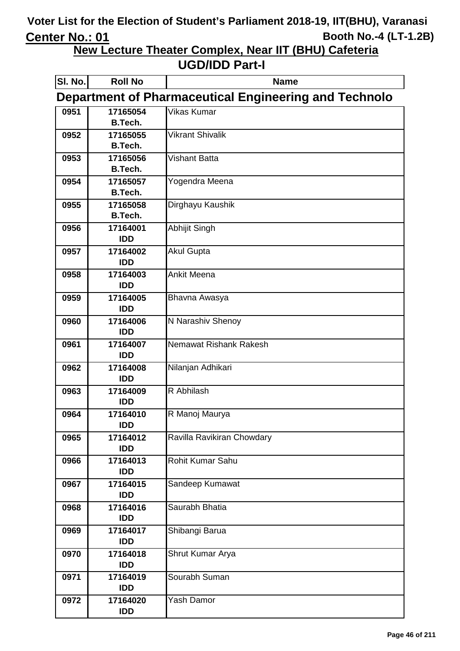**New Lecture Theater Complex, Near IIT (BHU) Cafeteria**

| SI. No. | <b>Roll No</b>                                               | <b>Name</b>                |  |
|---------|--------------------------------------------------------------|----------------------------|--|
|         | <b>Department of Pharmaceutical Engineering and Technolo</b> |                            |  |
| 0951    | 17165054                                                     | Vikas Kumar                |  |
|         | <b>B.Tech.</b>                                               |                            |  |
| 0952    | 17165055                                                     | <b>Vikrant Shivalik</b>    |  |
|         | <b>B.Tech.</b>                                               |                            |  |
| 0953    | 17165056                                                     | Vishant Batta              |  |
|         | <b>B.Tech.</b>                                               |                            |  |
| 0954    | 17165057                                                     | Yogendra Meena             |  |
|         | <b>B.Tech.</b>                                               |                            |  |
| 0955    | 17165058                                                     | Dirghayu Kaushik           |  |
|         | <b>B.Tech.</b>                                               |                            |  |
| 0956    | 17164001<br><b>IDD</b>                                       | Abhijit Singh              |  |
| 0957    | 17164002                                                     | <b>Akul Gupta</b>          |  |
|         | <b>IDD</b>                                                   |                            |  |
| 0958    | 17164003                                                     | <b>Ankit Meena</b>         |  |
|         | <b>IDD</b>                                                   |                            |  |
| 0959    | 17164005                                                     | Bhavna Awasya              |  |
|         | <b>IDD</b>                                                   |                            |  |
| 0960    | 17164006                                                     | N Narashiv Shenoy          |  |
|         | <b>IDD</b>                                                   |                            |  |
| 0961    | 17164007                                                     | Nemawat Rishank Rakesh     |  |
|         | <b>IDD</b>                                                   |                            |  |
| 0962    | 17164008                                                     | Nilanjan Adhikari          |  |
|         | <b>IDD</b>                                                   |                            |  |
| 0963    | 17164009<br><b>IDD</b>                                       | R Abhilash                 |  |
| 0964    | 17164010                                                     | R Manoj Maurya             |  |
|         | IDD                                                          |                            |  |
| 0965    | 17164012                                                     | Ravilla Ravikiran Chowdary |  |
|         | <b>IDD</b>                                                   |                            |  |
| 0966    | 17164013                                                     | Rohit Kumar Sahu           |  |
|         | <b>IDD</b>                                                   |                            |  |
| 0967    | 17164015                                                     | Sandeep Kumawat            |  |
|         | <b>IDD</b>                                                   |                            |  |
| 0968    | 17164016                                                     | Saurabh Bhatia             |  |
|         | IDD                                                          |                            |  |
| 0969    | 17164017                                                     | Shibangi Barua             |  |
|         | <b>IDD</b>                                                   |                            |  |
| 0970    | 17164018<br>IDD                                              | Shrut Kumar Arya           |  |
| 0971    | 17164019                                                     | Sourabh Suman              |  |
|         | IDD                                                          |                            |  |
| 0972    | 17164020                                                     | Yash Damor                 |  |
|         | IDD                                                          |                            |  |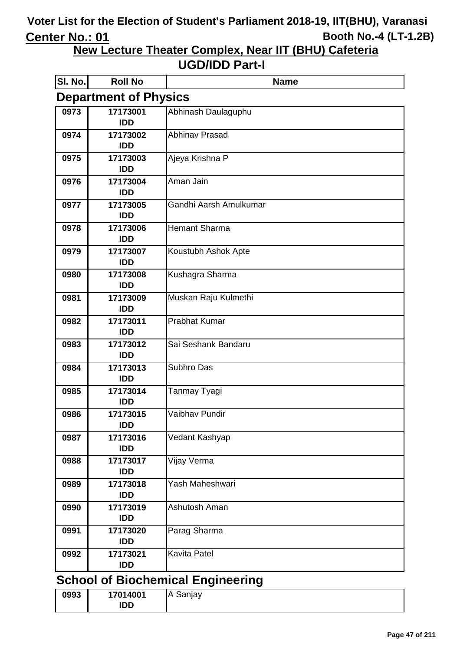**New Lecture Theater Complex, Near IIT (BHU) Cafeteria**

#### **UGD/IDD Part-I**

| SI. No.                                  | <b>Roll No</b>         | <b>Name</b>            |  |
|------------------------------------------|------------------------|------------------------|--|
| <b>Department of Physics</b>             |                        |                        |  |
| 0973                                     | 17173001               | Abhinash Daulaguphu    |  |
|                                          | <b>IDD</b>             |                        |  |
| 0974                                     | 17173002               | <b>Abhinav Prasad</b>  |  |
|                                          | <b>IDD</b>             |                        |  |
| 0975                                     | 17173003               | Ajeya Krishna P        |  |
|                                          | <b>IDD</b>             |                        |  |
| 0976                                     | 17173004               | Aman Jain              |  |
|                                          | <b>IDD</b>             |                        |  |
| 0977                                     | 17173005<br><b>IDD</b> | Gandhi Aarsh Amulkumar |  |
|                                          |                        | <b>Hemant Sharma</b>   |  |
| 0978                                     | 17173006<br><b>IDD</b> |                        |  |
| 0979                                     | 17173007               | Koustubh Ashok Apte    |  |
|                                          | <b>IDD</b>             |                        |  |
| 0980                                     | 17173008               | Kushagra Sharma        |  |
|                                          | <b>IDD</b>             |                        |  |
| 0981                                     | 17173009               | Muskan Raju Kulmethi   |  |
|                                          | <b>IDD</b>             |                        |  |
| 0982                                     | 17173011               | <b>Prabhat Kumar</b>   |  |
|                                          | <b>IDD</b>             |                        |  |
| 0983                                     | 17173012               | Sai Seshank Bandaru    |  |
|                                          | <b>IDD</b>             |                        |  |
| 0984                                     | 17173013               | Subhro Das             |  |
|                                          | <b>IDD</b>             |                        |  |
| 0985                                     | 17173014               | Tanmay Tyagi           |  |
|                                          | <b>IDD</b>             |                        |  |
| 0986                                     | 17173015               | Vaibhav Pundir         |  |
|                                          | <b>IDD</b>             |                        |  |
| 0987                                     | 17173016               | Vedant Kashyap         |  |
|                                          | <b>IDD</b>             |                        |  |
| 0988                                     | 17173017<br><b>IDD</b> | Vijay Verma            |  |
| 0989                                     | 17173018               | Yash Maheshwari        |  |
|                                          | <b>IDD</b>             |                        |  |
| 0990                                     | 17173019               | Ashutosh Aman          |  |
|                                          | <b>IDD</b>             |                        |  |
| 0991                                     | 17173020               | Parag Sharma           |  |
|                                          | <b>IDD</b>             |                        |  |
| 0992                                     | 17173021               | <b>Kavita Patel</b>    |  |
|                                          | <b>IDD</b>             |                        |  |
| <b>School of Biochemical Engineering</b> |                        |                        |  |
| 0993                                     | 17014001               | A Sanjay               |  |
|                                          |                        |                        |  |

**IDD**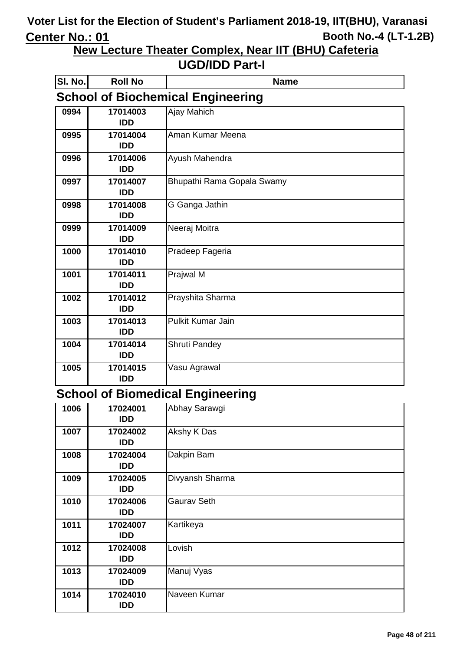**New Lecture Theater Complex, Near IIT (BHU) Cafeteria**

#### **UGD/IDD Part-I**

| SI. No. | <b>Roll No</b>                           | <b>Name</b>                |  |
|---------|------------------------------------------|----------------------------|--|
|         | <b>School of Biochemical Engineering</b> |                            |  |
| 0994    | 17014003                                 | Ajay Mahich                |  |
|         | <b>IDD</b>                               |                            |  |
| 0995    | 17014004                                 | Aman Kumar Meena           |  |
|         | <b>IDD</b>                               |                            |  |
| 0996    | 17014006                                 | Ayush Mahendra             |  |
|         | <b>IDD</b>                               |                            |  |
| 0997    | 17014007                                 | Bhupathi Rama Gopala Swamy |  |
|         | <b>IDD</b>                               |                            |  |
| 0998    | 17014008                                 | G Ganga Jathin             |  |
|         | <b>IDD</b>                               |                            |  |
| 0999    | 17014009                                 | Neeraj Moitra              |  |
|         | <b>IDD</b>                               |                            |  |
| 1000    | 17014010                                 | Pradeep Fageria            |  |
|         | <b>IDD</b>                               |                            |  |
| 1001    | 17014011                                 | Prajwal M                  |  |
|         | <b>IDD</b>                               |                            |  |
| 1002    | 17014012                                 | Prayshita Sharma           |  |
|         | <b>IDD</b>                               |                            |  |
| 1003    | 17014013                                 | <b>Pulkit Kumar Jain</b>   |  |
|         | <b>IDD</b>                               |                            |  |
| 1004    | 17014014                                 | <b>Shruti Pandey</b>       |  |
|         | <b>IDD</b>                               |                            |  |
| 1005    | 17014015                                 | Vasu Agrawal               |  |
|         | <b>IDD</b>                               |                            |  |

### **School of Biomedical Engineering**

| 1006 | 17024001<br><b>IDD</b> | Abhay Sarawgi      |
|------|------------------------|--------------------|
| 1007 | 17024002<br><b>IDD</b> | Akshy K Das        |
| 1008 | 17024004<br><b>IDD</b> | Dakpin Bam         |
| 1009 | 17024005<br><b>IDD</b> | Divyansh Sharma    |
| 1010 | 17024006<br><b>IDD</b> | <b>Gaurav Seth</b> |
| 1011 | 17024007<br><b>IDD</b> | Kartikeya          |
| 1012 | 17024008<br><b>IDD</b> | Lovish             |
| 1013 | 17024009<br><b>IDD</b> | Manuj Vyas         |
| 1014 | 17024010<br><b>IDD</b> | Naveen Kumar       |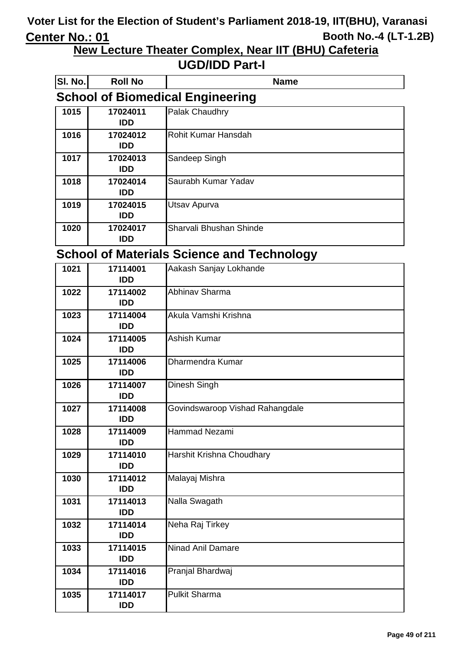**New Lecture Theater Complex, Near IIT (BHU) Cafeteria**

#### **UGD/IDD Part-I**

| SI. No. | <b>Roll No</b>                          | <b>Name</b>             |  |
|---------|-----------------------------------------|-------------------------|--|
|         | <b>School of Biomedical Engineering</b> |                         |  |
| 1015    | 17024011<br><b>IDD</b>                  | Palak Chaudhry          |  |
| 1016    | 17024012<br><b>IDD</b>                  | Rohit Kumar Hansdah     |  |
| 1017    | 17024013<br><b>IDD</b>                  | Sandeep Singh           |  |
| 1018    | 17024014<br>IDD.                        | Saurabh Kumar Yadav     |  |
| 1019    | 17024015<br><b>IDD</b>                  | Utsav Apurva            |  |
| 1020    | 17024017<br><b>IDD</b>                  | Sharvali Bhushan Shinde |  |

### **School of Materials Science and Technology**

| 1021 | 17114001<br><b>IDD</b> | Aakash Sanjay Lokhande          |
|------|------------------------|---------------------------------|
| 1022 | 17114002<br><b>IDD</b> | Abhinav Sharma                  |
| 1023 | 17114004<br><b>IDD</b> | Akula Vamshi Krishna            |
| 1024 | 17114005<br><b>IDD</b> | <b>Ashish Kumar</b>             |
| 1025 | 17114006<br><b>IDD</b> | Dharmendra Kumar                |
| 1026 | 17114007<br><b>IDD</b> | Dinesh Singh                    |
| 1027 | 17114008<br><b>IDD</b> | Govindswaroop Vishad Rahangdale |
| 1028 | 17114009<br><b>IDD</b> | <b>Hammad Nezami</b>            |
| 1029 | 17114010<br><b>IDD</b> | Harshit Krishna Choudhary       |
| 1030 | 17114012<br><b>IDD</b> | Malayaj Mishra                  |
| 1031 | 17114013<br><b>IDD</b> | Nalla Swagath                   |
| 1032 | 17114014<br><b>IDD</b> | Neha Raj Tirkey                 |
| 1033 | 17114015<br><b>IDD</b> | <b>Ninad Anil Damare</b>        |
| 1034 | 17114016<br><b>IDD</b> | Pranjal Bhardwaj                |
| 1035 | 17114017<br><b>IDD</b> | <b>Pulkit Sharma</b>            |